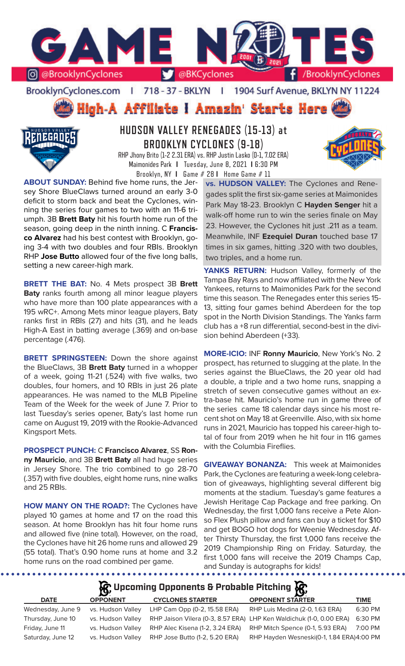

BrooklynCyclones.com | 718 - 37 - BKLYN | 1904 Surf Avenue, BKLYN NY 11224

# High-A Affiliate I Amazin' Starts Here



# **HUDSON VALLEY RENEGADES (15-13) at BROOKLYN CYCLONES (9-18)**

RHP Jhony Brito (1-2 2.31 ERA) vs. RHP Justin Lasko (0-1, 7.02 ERA) Maimonides Park **I** Tuesday, June 8, 2021 **I** 6:30 PM Brooklyn, NY **I** Game # 28 **I** Home Game # 11

**ABOUT SUNDAY:** Behind five home runs, the Jersey Shore BlueClaws turned around an early 3-0 deficit to storm back and beat the Cyclones, winning the series four games to two with an 11-6 triumph. 3B **Brett Baty** hit his fourth home run of the season, going deep in the ninth inning. C **Francisco Alvarez** had his best contest with Brooklyn, going 3-4 with two doubles and four RBIs. Brooklyn RHP **Jose Butto** allowed four of the five long balls,

**BRETT THE BAT:** No. 4 Mets prospect 3B **Brett Baty** ranks fourth among all minor league players who have more than 100 plate appearances with a 195 wRC+. Among Mets minor league players, Baty ranks first in RBIs (27) and hits (31), and he leads High-A East in batting average (.369) and on-base percentage (.476).

setting a new career-high mark.

**BRETT SPRINGSTEEN:** Down the shore against the BlueClaws, 3B **Brett Baty** turned in a whopper of a week, going 11-21 (.524) with five walks, two doubles, four homers, and 10 RBIs in just 26 plate appearances. He was named to the MLB Pipeline Team of the Week for the week of June 7. Prior to last Tuesday's series opener, Baty's last home run came on August 19, 2019 with the Rookie-Advanced Kingsport Mets.

**PROSPECT PUNCH:** C **Francisco Alvarez**, SS **Ronny Mauricio**, and 3B **Brett Baty** all had huge series in Jersey Shore. The trio combined to go 28-70 (.357) with five doubles, eight home runs, nine walks and 25 RBIs.

**HOW MANY ON THE ROAD?:** The Cyclones have played 10 games at home and 17 on the road this season. At home Brooklyn has hit four home runs and allowed five (nine total). However, on the road, the Cyclones have hit 26 home runs and allowed 29 (55 total). That's 0.90 home runs at home and 3.2 home runs on the road combined per game.

. . . . . . .

**vs. HUDSON VALLEY:** The Cyclones and Renegades split the first six-game series at Maimonides Park May 18-23. Brooklyn C **Hayden Senger** hit a walk-off home run to win the series finale on May 23. However, the Cyclones hit just .211 as a team. Meanwhile, INF **Ezequiel Duran** touched base 17 times in six games, hitting .320 with two doubles, two triples, and a home run.

YANKS RETURN: Hudson Valley, formerly of the Tampa Bay Rays and now affiliated with the New York Yankees, returns to Maimonides Park for the second time this season. The Renegades enter this series 15- 13, sitting four games behind Aberdeen for the top spot in the North Division Standings. The Yanks farm club has a +8 run differential, second-best in the division behind Aberdeen (+33).

**MORE-ICIO:** INF **Ronny Mauricio**, New York's No. 2 prospect, has returned to slugging at the plate. In the series against the BlueClaws, the 20 year old had a double, a triple and a two home runs, snapping a stretch of seven consecutive games without an extra-base hit. Mauricio's home run in game three of the series came 18 calendar days since his most recent shot on May 18 at Greenville. Also, with six home runs in 2021, Mauricio has topped his career-high total of four from 2019 when he hit four in 116 games with the Columbia Fireflies.

**GIVEAWAY BONANZA:** This week at Maimonides Park, the Cyclones are featuring a week-long celebration of giveaways, highlighting several different big moments at the stadium. Tuesday's game features a Jewish Heritage Cap Package and free parking. On Wednesday, the first 1,000 fans receive a Pete Alonso Flex Plush pillow and fans can buy a ticket for \$10 and get BOGO hot dogs for Weenie Wednesday. After Thirsty Thursday, the first 1,000 fans receive the 2019 Championship Ring on Friday. Saturday, the first 1,000 fans will receive the 2019 Champs Cap, and Sunday is autographs for kids!

# **Upcoming Opponents & Probable Pitching**

| <b>DATE</b>       | <b>OPPONENT</b>   | <b>CYCLONES STARTER</b>         | <b>OPPONENT STARTER</b>                                             | TIME    |
|-------------------|-------------------|---------------------------------|---------------------------------------------------------------------|---------|
| Wednesday, June 9 | vs. Hudson Valley | LHP Cam Opp (0-2, 15.58 ERA)    | RHP Luis Medina (2-0, 1.63 ERA)                                     | 6:30 PM |
| Thursday, June 10 | vs. Hudson Valley |                                 | RHP Jaison Vilera (0-3, 8.57 ERA) LHP Ken Waldichuk (1-0, 0.00 ERA) | 6:30 PM |
| Friday, June 11   | vs. Hudson Valley | RHP Alec Kisena (1-2, 3.24 ERA) | RHP Mitch Spence (0-1, 5.93 ERA)                                    | 7:00 PM |
| Saturday, June 12 | vs. Hudson Valley | RHP Jose Butto (1-2, 5.20 ERA)  | RHP Hayden Wesneski(0-1, 1.84 ERA)4:00 PM                           |         |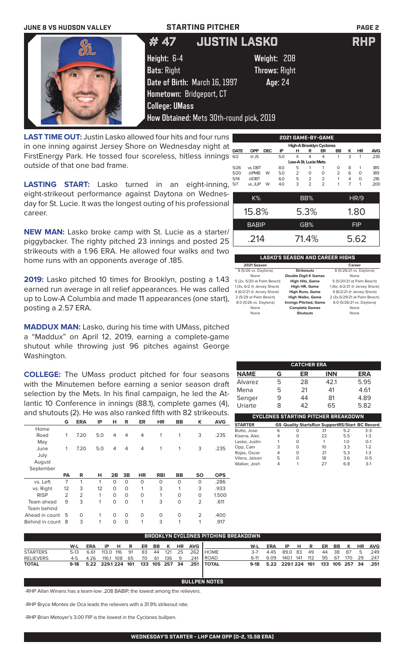### **JUNE 8 VS HUDSON VALLEY STARTING PITCHER PAGE 2**



**LAST TIME OUT:** Justin Lasko allowed four hits and four runs in one inning against Jersey Shore on Wednesday night at FirstEnergy Park. He tossed four scoreless, hitless innings outside of that one bad frame.

**LASTING START:** Lasko turned in an eight-inning, eight-strikeout performance against Daytona on Wednesday for St. Lucie. It was the longest outing of his professional career.

**NEW MAN:** Lasko broke camp with St. Lucie as a starter/ piggybacker. The righty pitched 23 innings and posted 25 strikeouts with a 1.96 ERA. He allowed four walks and two home runs with an opponents average of .185.

**2019:** Lasko pitched 10 times for Brooklyn, posting a 1.43 earned run average in all relief appearances. He was called up to Low-A Columbia and made 11 appearances (one start), posting a 2.57 ERA.

**MADDUX MAN:** Lasko, during his time with UMass, pitched a "Maddux" on April 12, 2019, earning a complete-game shutout while throwing just 96 pitches against George Washington.

**COLLEGE:** The UMass product pitched for four seasons with the Minutemen before earning a senior season draft selection by the Mets. In his final campaign, he led the Atlantic 10 Conference in innings (88.1), complete games (4), and shutouts (2). He was also ranked fifth with 82 strikeouts.

|                | G         | <b>ERA</b>     | IP  | н        | R        | ER        | HR         | <b>BB</b> | ĸ              | <b>AVG</b> |
|----------------|-----------|----------------|-----|----------|----------|-----------|------------|-----------|----------------|------------|
| Home           |           |                |     |          |          |           |            |           |                |            |
| Road           | 1         | 7.20           | 5.0 | 4        | 4        | 4         | 1          | 1         | 3              | .235       |
| May            |           |                |     |          |          |           |            |           |                |            |
| June           | 1         | 7.20           | 5.0 | 4        | 4        | 4         | 1          | 1         | 3              | .235       |
| July           |           |                |     |          |          |           |            |           |                |            |
| August         |           |                |     |          |          |           |            |           |                |            |
| September      |           |                |     |          |          |           |            |           |                |            |
|                |           | R              | н   | 2B       | 3B       | <b>HR</b> | <b>RBI</b> | <b>BB</b> | <b>SO</b>      | <b>OPS</b> |
|                | <b>PA</b> |                |     |          |          |           |            |           |                |            |
| vs. Left       | 7         | 1              | 1   | $\Omega$ | $\Omega$ | O         | O          | O         | $\Omega$       | .286       |
| vs. Right      | 12        | 3              | 12  | $\Omega$ | $\circ$  | 1         | 3          | 1         | 3              | .933       |
| <b>RISP</b>    | 2         | $\overline{2}$ | 1   | $\Omega$ | $\circ$  | 0         | 1          | O         | $\Omega$       | 1.500      |
| Team ahead     | 9         | 3              | 1   | $\Omega$ | $\circ$  | 1         | 3          | 0         | $\overline{2}$ | .611       |
| Team behind    |           |                |     |          |          |           |            |           |                |            |
| Ahead in count | 5         | O              | 1   | 0        | $\circ$  | 0         | O          | 0         | 2              | .400       |

|                          |              |            |     |                      |                | 2021 GAME-BY-GAME |                |                |             |            |
|--------------------------|--------------|------------|-----|----------------------|----------------|-------------------|----------------|----------------|-------------|------------|
| High-A Brooklyn Cyclones |              |            |     |                      |                |                   |                |                |             |            |
| <b>DATE</b>              | <b>OPP</b>   | <b>DEC</b> | ΙP  | н                    | R              | ER                | BB             | κ              | <b>HR</b>   | <b>AVG</b> |
| 6/2                      | $@$ JS       |            | 5.0 | 4                    | 4              | 4                 | 1              | 3              | 1           | .235       |
|                          |              |            |     | Low-A St. Lucie Mets |                |                   |                |                |             |            |
| 5/26                     | vs. DBT      |            | 8.0 | 5                    | 1              | 1                 | $\Omega$       | 8              | 1           | .185       |
| 5/20                     | @PMB         | W          | 5.0 | 2                    | O              | $\Omega$          | $\overline{2}$ | 6              | $\Omega$    | .189       |
| 5/14                     | @DBT         |            | 6.0 | 5                    | $\overline{2}$ | $\overline{2}$    | 1              | 4              | $\Omega$    | .216       |
| 5/7                      | vs. JUP      | W          | 4.0 | 3                    | $\mathcal{P}$  | $\overline{2}$    | 1              | $\overline{7}$ | 1           | .200       |
|                          |              |            |     |                      |                |                   |                |                |             |            |
|                          | K%           |            |     |                      | BB%            |                   |                |                | <b>HR/9</b> |            |
|                          |              |            |     |                      |                |                   |                |                |             |            |
|                          | 15.8%        |            |     |                      | 5.3%           |                   |                |                | 1.80        |            |
|                          | <b>BABIP</b> |            |     |                      | GB%            |                   |                |                | <b>FIP</b>  |            |
|                          |              |            |     |                      |                |                   |                |                |             |            |
|                          | .214         |            |     |                      | 71.4%          |                   |                |                | 5.62        |            |

### **LASKO'S SEASON AND CAREER HIGHS**

| 2021 Season                |                              | Career                        |
|----------------------------|------------------------------|-------------------------------|
| 8 (5/26 vs. Daytona)       | <b>Strikeouts</b>            | 8 (5/26/21 vs. Daytona)       |
| None                       | <b>Double Digit K Games</b>  | None                          |
| 5 (2x, 5/20 at Palm Beach) | <b>High Hits, Game</b>       | 5 (5/20/21 at Palm Beach)     |
| 1(3x, 6/2 @ Jersey Shore)  | High HR, Game                | 1 (6x, 6/2/21 @ Jersey Shore) |
| 4 (6/2/21 @ Jersey Shore)  | <b>High Runs, Game</b>       | 4 (6/2/21 @ Jersey Shore)     |
| 2 (5/29 at Palm Beach)     | <b>High Walks, Game</b>      | 2 (3x, 5/29/21 at Palm Beach) |
| 8.0 (5/26 vs. Daytona)     | <b>Innings Pitched, Game</b> | 8.0 (5/26/21 vs. Daytona)     |
| None                       | <b>Complete Games</b>        | None                          |
| None                       | <b>Shutouts</b>              | None                          |
|                            |                              |                               |

| <b>CATCHER ERA</b> |   |    |            |            |  |  |
|--------------------|---|----|------------|------------|--|--|
| <b>NAME</b>        | G | ER | <b>INN</b> | <b>ERA</b> |  |  |
| Alvarez            | 5 | 28 | 42.1       | 5.95       |  |  |
| Mena               | 5 | 21 | 41         | 4.61       |  |  |
| Senger             | 9 | 44 | 81         | 4.89       |  |  |
| Uriarte            | x | 42 | 65         | 5.82       |  |  |

| CYCLONES STARTING PITCHER BREAKDOWN |   |   |                                                       |     |         |  |  |  |
|-------------------------------------|---|---|-------------------------------------------------------|-----|---------|--|--|--|
| <b>STARTER</b>                      |   |   | <b>GS Quality StartsRun SupportRS/Start BC Record</b> |     |         |  |  |  |
| Butto, Jose                         | 6 | O | 31                                                    | 5.2 | $3-3$   |  |  |  |
| Kisena, Alec                        | 4 | O | 22                                                    | 5.5 | $1 - 3$ |  |  |  |
| Lasko, Justin                       |   | O |                                                       | 1.0 | $O-1$   |  |  |  |
| Opp, Cam                            | 3 | O | 10                                                    | 3.3 | $1 - 2$ |  |  |  |
| Rojas, Oscar                        | 4 | 0 | 21                                                    | 5.3 | $1 - 3$ |  |  |  |
| Vilera, Jaison                      | 5 | O | 18                                                    | 3.6 | $0 - 5$ |  |  |  |
| Walker, Josh                        |   |   | 27                                                    | 68  | $3-1$   |  |  |  |

| BROOKLYN CYCLONES PITCHING BREAKDOWN |     |                                        |              |  |  |  |  |  |  |                       |                                                   |       |                                             |       |  |  |  |                   |
|--------------------------------------|-----|----------------------------------------|--------------|--|--|--|--|--|--|-----------------------|---------------------------------------------------|-------|---------------------------------------------|-------|--|--|--|-------------------|
|                                      | W-L | ERA                                    |              |  |  |  |  |  |  | IP H R ER BB K HR AVG |                                                   | W-L   | ERA                                         | IP HR |  |  |  | ER BB K HR AVG    |
| <b>STARTERS</b>                      |     | 5-13 6.61                              | 113.0 116 91 |  |  |  |  |  |  |                       | 83 44 121 25 .262 HOME                            | $3-7$ | 4.45 89.0 83 49                             |       |  |  |  | 44 38 87 5 .249   |
| <b>RELIEVERS</b>                     |     | 4-5 4.26 116.1 108 65 70 61 136 9 .241 |              |  |  |  |  |  |  |                       | <b>I ROAD</b>                                     | 6-11  | 6.09 140.1 141 112                          |       |  |  |  | 95 67 170 29 .247 |
| <b>TOTAL</b>                         |     |                                        |              |  |  |  |  |  |  |                       | 9-18 5.22 229.1 224 161 133 105 257 34 .251 TOTAL |       | 9-18 5.22 229.1 224 161 133 105 257 34 .251 |       |  |  |  |                   |

**BULLPEN NOTES**

-RHP Allan Winans has a team-low .208 BABIP, the lowest among the relievers.

-RHP Bryce Montes de Oca leads the relievers with a 31.9% strikeout rate.

-RHP Brian Metoyer's 3.00 FIP is the lowest in the Cyclones bullpen.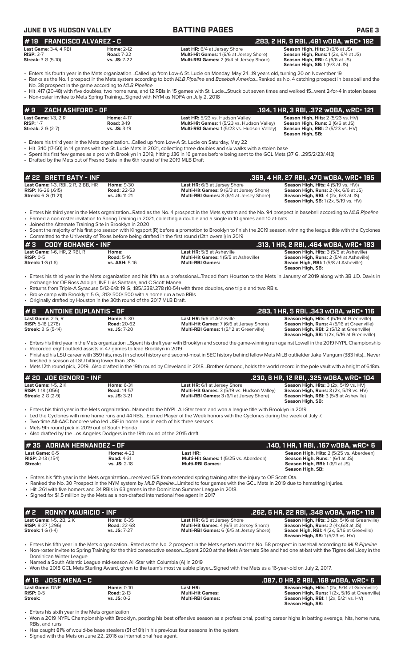## **JUNE 8 VS HUDSON VALLEY BATTING PAGES PAGE 3**

| # 19    FRANCISCO ALVAREZ - C |                  |
|-------------------------------|------------------|
| <b>.ast Game:</b> 3-4. 4 RBI  | <b>Home: 2-1</b> |

**RISP:** 3-7 **Road:** 7-22 **Multi-Hit Games:** 1 (6/6 at Jersey Shore) **Season High, Runs:** 1 (2x, 6/4 at JS)

**Last Game:** 3-4, 4 RBI **Home:** 2-12 **Last HR:** 6/4 at Jersey Shore **Season High, Hits:** 3 (6/6 at JS) **Multi-RBI Games:** 2 (6/4 at Jersey Shore)

**Season High, RBI:**  $4(6/6$  at JS)<br>**Season High, RBI:**  $4(6/3$  at JS) **# 19 FRANCISCO ALVAREZ - C .283, 2 HR, 9 RBI, .491 wOBA, wRC+ 192**

- Enters his fourth year in the Mets organization...Called up from Low-A St. Lucie on Monday, May 24...19 years old, turning 20 on November 19 • Ranks as the No. 1 prospect in the Mets system according to both *MLB Pipeline* and *Baseball America*...Ranked as No. 4 catching prospect in baseball and the
- No. 38 prospect in the game according to *MLB Pipeline* • Hit .417 (20-48) with five doubles, two home runs, and 12 RBIs in 15 games with St. Lucie...Struck out seven times and walked 15...went 2-for-4 in stolen bases
	- Non-roster invitee to Mets Spring Training...Signed with NYM as NDFA on July 2, 2018

| $# 9$ ZACH ASHFORD - OF .            |                   |                                                    | . 194, 1 HR, 3 RBI, .372 wOBA, wRC+ 121. [ |
|--------------------------------------|-------------------|----------------------------------------------------|--------------------------------------------|
| <b>Last Game:</b> 1-3, $2 \text{ R}$ | <b>Home: 4-17</b> | Last HR: 5/23 vs. Hudson Valley                    | Season High, Hits: 2 (5/23 vs. HV)         |
| <b>RISP: 1-7</b>                     | <b>Road: 3-19</b> | <b>Multi-Hit Games: 1 (5/23 vs. Hudson Valley)</b> | <b>Season High, Runs: 2 (6/6 at JS)</b>    |
| <b>Streak:</b> $2 G (2-7)$           | $vs.$ JS: $3-19$  | <b>Multi-RBI Games: 1(5/23 vs. Hudson Valley)</b>  | <b>Season High, RBI:</b> 2 (5/23 vs. HV)   |
|                                      |                   |                                                    | <b>Season High, SB:</b>                    |

- Enters his third year in the Mets organization...Called up from Low-A St. Lucie on Saturday, May 22
- Hit .340 (17-50) in 14 games with the St. Lucie Mets in 2021, collecting three doubles and six walks with a stolen base
- Spent his first few games as a pro with Brooklyn in 2019, hitting .136 in 16 games before being sent to the GCL Mets (37 G, .295/2/23/.413)
- Drafted by the Mets out of Fresno State in the 6th round of the 2019 MLB Draft

| # 22 BRETT BATY - INF                     |                    |                                                 | .369, 4 HR, 27 RBI, .470 wOBA, wRC+ 195         |
|-------------------------------------------|--------------------|-------------------------------------------------|-------------------------------------------------|
| <b>Last Game: 1-3, RBI, 2 R, 2 BB, HR</b> | <b>Home: 9-30</b>  | <b>Last HR:</b> 6/6 at Jersey Shore             | <b>Season High, Hits: 4 (5/19 vs. HV))</b>      |
| <b>RISP:</b> 16-26 (.615)                 | <b>Road: 22-53</b> | <b>Multi-Hit Games: 9 (6/3 at Jersey Shore)</b> | <b>Season High, Runs:</b> $2$ (4x, $6/6$ at JS) |
| <b>Streak:</b> 6 G (11-21)                | $vs.$ JS: 11-21    | <b>Multi-RBI Games:</b> 8 (6/4 at Jersey Shore) | <b>Season High, RBI:</b> $4$ (2x, $6/3$ at JS)  |
|                                           |                    |                                                 | <b>Season High, SB:</b> 1 (2x, 5/19 vs. HV)     |

- Enters his third year in the Mets organization...Rated as the No. 4 prospect in the Mets system and the No. 94 prospect in baseball according to *MLB Pipeline*
- Earned a non-roster invitation to Spring Training in 2021, collecting a double and a single in 10 games and 10 at-bats
- Joined the Alternate Training Site in Brooklyn in 2020 • Spent the majority of his first pro season with Kingsport (R) before a promotion to Brooklyn to finish the 2019 season, winning the league title with the Cyclones • Committed to the University of Texas before being drafted in the first round (12th overall) in 2019

| I#3<br>CODY BOHANEK - INF                                                      |                                                    |                                                                                                                                                                | .313. 1 HR. 2 RBI. .464 WOBA. WRC+ 183                                                                                                                              |  |  |  |  |
|--------------------------------------------------------------------------------|----------------------------------------------------|----------------------------------------------------------------------------------------------------------------------------------------------------------------|---------------------------------------------------------------------------------------------------------------------------------------------------------------------|--|--|--|--|
| <b>Last Game: 1-6. HR. 2 RBI. R</b><br>$RISP: 0-5$<br><b>Streak: 1 G (1-6)</b> | Home:<br><b>Road: 5-16</b><br><b>vs. ASH: 5-16</b> | <b>Last HR: 5/8 at Asheville</b><br><b>Multi-Hit Games: 1(5/5 at Asheville)</b><br><b>Multi-RBI Games:</b>                                                     | <b>Season High, Hits: 3 (5/5 at Asheville)</b><br><b>Season High, Runs: 2 (5/4 at Asheville)</b><br><b>Seaon High, RBI:</b> 1(5/8 at Asheville)<br>Season High, SB: |  |  |  |  |
|                                                                                |                                                    | • Enters his third year in the Mets organization and his fifth as a professionalTraded from Houston to the Mets in January of 2019 along with 3B J.D. Davis in |                                                                                                                                                                     |  |  |  |  |

- exchange for OF Ross Adolph, INF Luis Santana, and C Scott Manea
- Returns from Triple-A Syracuse 5/12-6/8: 19 G, .185/.338/.278 (10-54) with three doubles, one triple and two RBIs.
- Broke camp with Brooklyn: 5 G, .313/.500/.500 with a home run a two RBIs

|                                                   | • Originally drafted by Houston in the 30th round of the 2017 MLB Draft. |                                                                                                                                           |                                                                                                       |
|---------------------------------------------------|--------------------------------------------------------------------------|-------------------------------------------------------------------------------------------------------------------------------------------|-------------------------------------------------------------------------------------------------------|
| $# 8$ ANTOINE DUPLANTIS - OF                      |                                                                          |                                                                                                                                           | .283. 1 HR. 5 RBI. .343 WOBA. WRC+ 116                                                                |
| Last Game: $2-5. R$<br><b>RISP:</b> 5-18 $(.278)$ | <b>Home: 5-30</b><br><b>Road: 20-62</b>                                  | <b>Last HR:</b> 5/6 at Asheville<br><b>Multi-Hit Games: 7 (6/6 at Jersey Shore)</b>                                                       | <b>Season High, Hits: 4 (5/16 at Greenville)</b><br>Season High, Runs: 4 (5/16 at Greenville)         |
| <b>Streak: 3 G (5-14)</b>                         | vs. JS: 7-20                                                             | <b>Multi-RBI Games: 1(5/12 at Greenville)</b>                                                                                             | <b>Season High, RBI:</b> 2 (5/12 at Greenville)<br><b>Season High, SB:</b> 1 (2x, 5/16 at Greenville) |
|                                                   |                                                                          | Fatoa kichiad waa in the Mete cannication - Cannt kichaki waa dik Daedda ana anadha waan waanin a waa amingti mwaka 3040 NNDL Chompionala |                                                                                                       |

- Enters his third year in the Mets organization ...Spent his draft year with Brooklyn and scored the game-winning run against Lowell in the 2019 NYPL Championship • Recorded eight outfield assists in 47 games to lead Brooklyn in 2019
- Finished his LSU career with 359 hits, most in school history and second-most in SEC history behind fellow Mets MiLB outfielder Jake Mangum (383 hits)...Never
- finished a season at LSU hitting lower than .316 • Mets 12th round pick, 2019...Also drafted in the 19th round by Cleveland in 2018...Brother Armond, holds the world record in the pole vault with a height of 6.18m.

| $#$ 20 JOE GENORD - INF    |                    |                                                 | . .230, 6 HR, 12 RBI, .325 wOBA, wRC+ 104                         |
|----------------------------|--------------------|-------------------------------------------------|-------------------------------------------------------------------|
| <b>Last Game:</b> 1-5, 2 K | <b>Home: 6-31</b>  | <b>Last HR:</b> 6/1 at Jersey Shore             | <b>Season High, Hits: 3 (2x, 5/19 vs. HV)</b>                     |
| <b>RISP:</b> 1-18 (.056)   | <b>Road: 14-57</b> | Multi-Hit Games: 3 (5/19 vs. Hudson Valley)     | <b>Season High, Runs:</b> $3$ ( $2x$ , $5/19$ vs. $HV$ )          |
| <b>Streak:</b> 2 G (2-9)   | $vs.$ JS: $3-21$   | <b>Multi-RBI Games:</b> 3 (6/1 at Jersey Shore) | <b>Season High, RBI:</b> 3 (5/8 at Asheville)<br>Season High, SB: |
|                            |                    |                                                 |                                                                   |

- Enters his third year in the Mets organization...Named to the NYPL All-Star team and won a league title with Brooklyn in 2019 • Led the Cyclones with nine home runs and 44 RBIs...Earned Player of the Week honors with the Cyclones during the week of July 7.
- Two-time All-AAC honoree who led USF in home runs in each of his three seasons
- 
- Mets 9th round pick in 2019 out of South Florida • Also drafted by the Los Angeles Dodgers in the 19th round of the 2015 draft.

| #35 ADRIAN HERNANDEZ - OF                  |                                        |                                                          | .140, 1 HR, 1 RBI, .167 wOBA, wRC+ 6                                                |
|--------------------------------------------|----------------------------------------|----------------------------------------------------------|-------------------------------------------------------------------------------------|
| Last Game: 0-5<br><b>RISP: 2-13 (.154)</b> | <b>Home: 4-23</b><br><b>Road: 4-31</b> | Last HR:<br><b>Multi-Hit Games: 1(5/25 vs. Aberdeen)</b> | Season High, Hits: 2 (5/25 vs. Aberdeen)<br><b>Season High, Runs: 1 (6/1 at JS)</b> |
| Streak:                                    | $vs.$ JS: $2-18$                       | <b>Multi-RBI Games:</b>                                  | <b>Season High, RBI:</b> 1 (6/1 at JS)<br>Season High, SB:                          |

• Enters his fifth year in the Mets organization...received 5/8 from extended spring training after the injury to OF Scott Ota.

- Ranked the No. 30 Prospect in the NYM system by *MLB Pipeline...*Limited to four games with the GCL Mets in 2019 due to hamstring injuries.
- Hit .261 with five homers and 34 RBIs in 63 games in the Dominican Summer League in 2018.
- Signed for \$1.5 million by the Mets as a non-drafted international free agent in 2017

| #2<br>RONNY MAURICIO - INF    |                    |                                                 | .262, 6 HR, 22 RBI, .348 wOBA, wRC+ 119                   |
|-------------------------------|--------------------|-------------------------------------------------|-----------------------------------------------------------|
| <b>Last Game: 1-5, 2B, 2K</b> | <b>Home: 6-35</b>  | <b>Last HR:</b> 6/5 at Jersey Shore             | Season High, Hits: 3 (2x, 5/16 at Greenville)             |
| <b>RISP:</b> $8-27$ (.296)    | <b>Road: 22-68</b> | <b>Multi-Hit Games:</b> 4 (6/3 at Jersey Shore) | <b>Season High, Runs:</b> $2 \times (4 \times 6/3)$ at JS |
| <b>Streak:</b> 1 G (1-4)      | vs. JS: 7-27       | <b>Multi-RBI Games:</b> 6 (6/5 at Jersey Shore) | <b>Seaon High, RBI:</b> 4 (2x, 5/16 at Greeville)         |
|                               |                    |                                                 | <b>Season High, SB: 1(5/23 vs. HV)</b>                    |

• Enters his fifth year in the Mets organization...Rated as the No. 2 prospect in the Mets system and the No. 58 prospect in baseball according to *MLB Pipeline* • Non-roster invitee to Spring Training for the third consecutive season...Spent 2020 at the Mets Alternate Site and had one at-bat with the Tigres del Licey in the Dominican Winter League

• Named a South Atlantic League mid-season All-Star with Columbia (A) in 2019

• Won the 2018 GCL Mets Sterling Award, given to the team's most valuable player...Signed with the Mets as a 16-year-old on July 2, 2017.

| # 16 JOSE MENA - C    |                   |                         | .087, 0 HR, 2 RBI, .168 w0BA, wRC+ 6                 |
|-----------------------|-------------------|-------------------------|------------------------------------------------------|
| <b>Last Game: DNP</b> | <b>Home: 0-10</b> | Last HR:                | <b>Season High, Hits: 1(2x, 5/14 at Greenville)</b>  |
| $RISP: 0-5$           | <b>Road: 2-13</b> | <b>Multi-Hit Games:</b> | <b>Season High, Runs: 1 (2x, 5/16 at Greenville)</b> |
| Streak:               | $vs.$ JS: 0-2     | <b>Multi-RBI Games:</b> | <b>Season High, RBI:</b> 1 (2x, 5/21 vs. HV)         |
|                       |                   |                         | Season High, SB:                                     |

Enters his sixth year in the Mets organization

• Has caught 81% of would-be base stealers (51 of 81) in his previous four seasons in the system. • Signed with the Mets on June 22, 2016 as international free agent.

<sup>•</sup> Won a 2019 NYPL Championship with Brooklyn, posting his best offensive season as a professional, posting career highs in batting average, hits, home runs, RBIs, and runs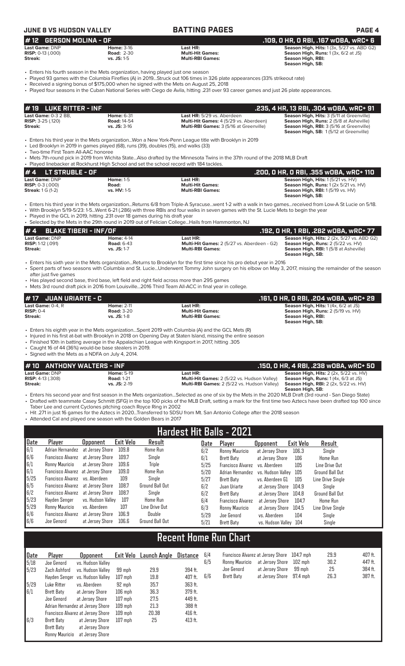## **JUNE 8 VS HUDSON VALLEY BATTING PAGES PAGE 4**

| 1# 12 GERSON MOLINA - OF     |                                                                                    |                         | .109. 0 HR. 0 RBI. .167 w0BA. wRC+ 6              |  |  |
|------------------------------|------------------------------------------------------------------------------------|-------------------------|---------------------------------------------------|--|--|
| Last Game: DNP               | <b>Home: 3-16</b>                                                                  | Last HR:                | <b>Season High, Hits: 1 (3x, 5/27 vs. ABD G2)</b> |  |  |
| <b>RISP:</b> $0-13$ $(.000)$ | <b>Road: 2-30</b>                                                                  | Multi-Hit Games:        | <b>Season High, Runs: 1 (3x, 6/2 at JS)</b>       |  |  |
| Streak:                      | $vs.$ JS: 1-5                                                                      | <b>Multi-RBI Games:</b> | Season High, RBI:                                 |  |  |
|                              |                                                                                    |                         | Season High, SB:                                  |  |  |
|                              | • Enters his fourth season in the Mets organization, having played just one season |                         |                                                   |  |  |

- Played 93 games with the Columbia Fireflies (A) in 2019...Struck out 106 times in 326 plate appearances (33% strikeout rate)
- Received a signing bonus of \$175,000 when he signed with the Mets on August 25, 2018
- Played four seasons in the Cuban National Series with Ciego de Avila, hitting .231 over 93 career games and just 26 plate appearances.

| $\sharp$ 19 $\;$ LUKE RITTER - INF $\;$ |                    |                                                | .235, 4 HR, 13 RBI, .304 wOBA, wRC+ 91           |
|-----------------------------------------|--------------------|------------------------------------------------|--------------------------------------------------|
| <b>Last Game: 0-3 2 BB.</b>             | <b>Home: 6-31</b>  | Last HR: 5/29 vs. Aberdeen                     | <b>Season High, Hits: 3 (5/11 at Greenville)</b> |
| <b>RISP:</b> $3-25$ (.120)              | <b>Road: 14-54</b> | <b>Multi-Hit Games:</b> 4 (5/29 vs. Aberdeen)  | <b>Season High, Runs: 2 (5/8 at Asheville)</b>   |
| Streak:                                 | $vs.$ JS: 3-16     | <b>Multi-RBI Games: 3 (5/16 at Greenville)</b> | <b>Season High, RBI: 3 (5/16 at Greenville)</b>  |
|                                         |                    |                                                | <b>Season High, SB: 1(5/12 at Greenville)</b>    |

• Enters his third year in the Mets organization...Won a New York-Penn League title with Brooklyn in 2019

Led Brooklyn in 2019 in games played (68), runs (39), doubles (15), and walks (33) • Two-time First Team All-AAC honoree

• Mets 7th-round pick in 2019 from Wichita State...Also drafted by the Minnesota Twins in the 37th round of the 2018 MLB Draft

| • Played linebacker at Rockhurst High School and set the school record with 184 tackles. |                    |                         |                                                             |  |  |  |  |  |
|------------------------------------------------------------------------------------------|--------------------|-------------------------|-------------------------------------------------------------|--|--|--|--|--|
| $# 4$ LT STRUBLE - OF                                                                    |                    |                         | .200. 0 HR. 0 RBI. .355 WOBA. WRC+ 110                      |  |  |  |  |  |
| Last Game: DNP                                                                           | <b>Home: 1-5</b>   | Last HR:                | <b>Season High, Hits: 1(5/21 vs. HV)</b>                    |  |  |  |  |  |
| <b>RISP:</b> $0-3$ (.000)                                                                | Road:              | <b>Multi-Hit Games:</b> | <b>Season High, Runs:</b> $1(2 \times 5/21 \text{ vs. HV})$ |  |  |  |  |  |
| <b>Streak:</b> $1 \text{ G } (1-2)$                                                      | <b>vs. HV: 1-5</b> | <b>Multi-RBI Games:</b> | <b>Season High, RBI:</b> 1(5/19 vs. HV)                     |  |  |  |  |  |
|                                                                                          |                    |                         | Season High, SB:                                            |  |  |  |  |  |

• Enters his third year in the Mets organization...Returns 6/8 from Triple-A Syracuse...went 1-2 with a walk in two games...received from Low-A St Lucie on 5/18.

• With Brooklyn 5/19-5/23: 1-5...Went 6-21 (.286) with three RBIs and four walks in seven games with the St. Lucie Mets to begin the year • Played in the GCL in 2019, hitting .231 over 18 games during his draft year

| $\,$ Selected by the Mets in the 29th round in 2019 out of Felician CollegeHails from Hammonton, NJ |                   |                                                    |                                                    |  |  |  |  |
|-----------------------------------------------------------------------------------------------------|-------------------|----------------------------------------------------|----------------------------------------------------|--|--|--|--|
| $\#$ 4 BLAKE TIBERI - INF/OF                                                                        |                   |                                                    | . 192, O HR, 1 RBI, .282 wOBA, wRC+ 77.            |  |  |  |  |
| Last Game: DNP                                                                                      | <b>Home: 4-14</b> | Last HR:                                           | <b>Season High, Hits: 2 (2x, 5/27 vs. ABD G2)</b>  |  |  |  |  |
| <b>RISP:</b> 1-12 $(.091)$                                                                          | <b>Road: 6-43</b> | <b>Multi-Hit Games:</b> 2 (5/27 vs. Aberdeen - G2) | <b>Season High, Runs:</b> $2(5/22 \text{ vs. HV})$ |  |  |  |  |
| Streak:                                                                                             | $vs.$ JS: 1-7     | <b>Multi-RBI Games:</b>                            | <b>Season High, RBI:</b> 1(5/8 at Asheville)       |  |  |  |  |

• Enters his sixth year in the Mets organization...Returns to Brooklyn for the first time since his pro debut year in 2016 • Spent parts of two seasons with Columbia and St. Lucie...Underwent Tommy John surgery on his elbow on May 3, 2017, missing the remainder of the season after just five games

**Season High, SB:** 

• Has played second base, third base, left field and right field across more than 295 games

• Mets 3rd round draft pick in 2016 from Louisville...2016 Third Team All-ACC in final year in college.

| $# 17$ JUAN URIARTE - C                            |                                                         |                                                                | .161, 0 HR, 0 RBI, .204 w0BA, wRC+ 29                                                                                       |
|----------------------------------------------------|---------------------------------------------------------|----------------------------------------------------------------|-----------------------------------------------------------------------------------------------------------------------------|
| <b>Last Game:</b> 0-4. R<br>$RISP: 0-4$<br>Streak: | <b>Home: 2-11</b><br><b>Road: 3-20</b><br>vs. $JS: 1-8$ | Last HR:<br><b>Multi-Hit Games:</b><br><b>Multi-RBI Games:</b> | <b>Season High, Hits:</b> $1(4x, 6/2$ at JS)<br>Season High, Runs: 2 (5/19 vs. HV)<br>Season High, RBI:<br>Season High, SB: |
|                                                    |                                                         |                                                                |                                                                                                                             |

• Enters his eighth year in the Mets organization...Spent 2019 with Columbia (A) and the GCL Mets (R)

• Injured in his first at-bat with Brooklyn in 2018 on Opening Day at Staten Island, missing the entire season

• Finished 10th in batting average in the Appalachian League with Kingsport in 2017, hitting .305

• Caught 16 of 44 (36%) would-be base stealers in 2019.

• Signed with the Mets as a NDFA on July 4, 2014.

| # 10 ANTHONY WALTERS - INF |                   |                                                    | .150. 0 HR. 4 RBI. .238 w0BA. wRC+ 50         |
|----------------------------|-------------------|----------------------------------------------------|-----------------------------------------------|
| <b>Last Game:</b> DNP      | <b>Home: 5-19</b> | Last HR:                                           | <b>Season High, Hits: 2 (2x, 5/22 vs. HV)</b> |
| <b>RISP:</b> 4-13 (.308)   | <b>Road: 1-21</b> | <b>Multi-Hit Games: 2 (5/22 vs. Hudson Valley)</b> | <b>Season High, Runs:</b> $1(4x, 6/3$ at JS)  |
| Streak:                    | $vs.$ JS: 2-19    | <b>Multi-RBI Games:</b> 2 (5/22 vs. Hudson Valley) | <b>Season High, RBI:</b> 2 (2x, 5/22 vs. HV)  |
|                            |                   |                                                    | Season High, SB:                              |

• Enters his second year and first season in the Mets organization...Selected as one of six by the Mets in the 2020 MLB Draft (3rd round - San Diego State) • Drafted with teammate Casey Schmitt (SFG) in the top 100 picks of the MLB Draft, setting a mark for the first time two Aztecs have been drafted top 100 since Taber Lee and current Cyclones pitching coach Royce Ring in 2002

• Hit .271 in just 16 games for the Aztecs in 2020...Transferred to SDSU from Mt. San Antonio College after the 2018 season

• Attended Cal and played one season with the Golden Bears in 2017

| <b>Hardest Hit Balls - 2021</b> |                                   |                   |           |                        |      |                          |                       |           |                        |
|---------------------------------|-----------------------------------|-------------------|-----------|------------------------|------|--------------------------|-----------------------|-----------|------------------------|
| Date                            | Player                            | <b>Opponent</b>   | Exit Velo | Result                 | Date | Player                   | <b>Opponent</b>       | Exit Velo | Result                 |
| 6/1                             | Adrian Hernandez                  | at Jersey Shore   | 109.8     | Home Run               | 6/2  | Ronny Mauricio           | at Jersey Shore       | 106.3     | Single                 |
| 6/6                             | Francisco Alvarez                 | at Jersev Shore   | 109.7     | Single                 | 6/1  | Brett Baty               | at Jersev Shore       | 106       | <b>Home Run</b>        |
| 6/1                             | Ronny Mauricio                    | at Jersev Shore   | 109.6     | <b>Triple</b>          | 5/25 | <b>Francisco Alvarez</b> | vs. Aberdeen          | 105       | Line Drive Out         |
| 6/1                             | Francisco Alvarez at Jersey Shore |                   | 109.0     | Home Run               | 5/20 | Adrian Hernandez         | vs. Hudson Vallev     | 105       | <b>Ground Ball Out</b> |
| 5/25                            | Francisco Alvarez vs. Aberdeen    |                   | 109       | Single                 | 5/27 | Brett Baty               | vs. Aberdeen G1       | 105       | Line Drive Single      |
| 6/5                             | Francisco Alvarez at Jersey Shore |                   | 108.7     | <b>Ground Ball Out</b> | 6/2  | Juan Uriarte             | at Jersev Shore       | 104.9     | Single                 |
| 6/2                             | Francisco Alvarez at Jersey Shore |                   | 108.7     | Single                 | 6/2  | Brett Baty               | at Jersev Shore       | 104.8     | <b>Ground Ball Out</b> |
| 5/23                            | Havden Senger                     | vs. Hudson Vallev | 107       | Home Run               | 6/4  | <b>Francisco Alvarez</b> | at Jersev Shore       | 104.7     | <b>Home Run</b>        |
| 5/29                            | Ronny Mauricio                    | vs. Aberdeen      | 107       | Line Drive Out         | 6/3  | Ronny Mauricio           | at Jersev Shore       | 104.5     | Line Drive Single      |
| 6/6                             | Francisco Alvarez                 | at Jersey Shore   | 106.9     | Double                 | 5/29 | Joe Genord               | vs. Aberdeen          | 104       | Single                 |
| 6/6                             | Joe Genord                        | at Jersey Shore   | 106.6     | <b>Ground Ball Out</b> | 5/21 | Brett Baty               | vs. Hudson Valley 104 |           | Single                 |

# **Recent Home Run Chart**

| Date | Player         | <b>Opponent</b>                   | Exit Velo | Launch Angle | Distance  | 6/4 |                | Francisco Alvarez at Jersey Shore | 104.7 mph | 29.9 | 407 ft. |
|------|----------------|-----------------------------------|-----------|--------------|-----------|-----|----------------|-----------------------------------|-----------|------|---------|
| 5/18 | Joe Genord     | vs. Hudson Valley                 |           |              |           | 6/5 | Ronny Mauricio | at Jersey Shore                   | $102$ mph | 30.2 | 447 ft. |
| 5/23 | Zach Ashford   | vs. Hudson Valley                 | 99 mph    | 29.9         | 394 ft.   |     | Joe Genord     | at Jersey Shore                   | 99 mph    | 25   | 384 ft. |
|      |                | Hayden Senger vs. Hudson Valley   | $107$ mph | 19.8         | 407 ft.   | 6/6 | Brett Baty     | at Jersev Shore                   | 97.4 mph  | 26.3 | 387 ft. |
| 5/29 | Luke Ritter    | vs. Aberdeen                      | 92 mph    | 35.7         | 363 ft.   |     |                |                                   |           |      |         |
| 6/1  | Brett Baty     | at Jersey Shore                   | $106$ mph | 36.3         | 379 ft.   |     |                |                                   |           |      |         |
|      | Joe Genord     | at Jersev Shore                   | $107$ mph | 27.5         | 449 ft.   |     |                |                                   |           |      |         |
|      |                | Adrian Hernandez at Jersey Shore  | $109$ mph | 21.3         | 388 ft    |     |                |                                   |           |      |         |
|      |                | Francisco Alvarez at Jersey Shore | $109$ mph | 20.38        | 416 ft.   |     |                |                                   |           |      |         |
| 6/3  | Brett Baty     | at Jersey Shore                   | $107$ mph | 25           | $413$ ft. |     |                |                                   |           |      |         |
|      | Brett Baty     | at Jersev Shore                   |           |              |           |     |                |                                   |           |      |         |
|      | Ronny Mauricio | at Jersey Shore                   |           |              |           |     |                |                                   |           |      |         |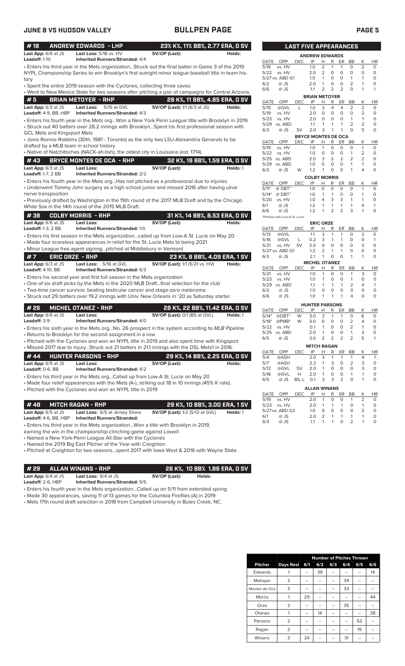| #18                                                 | <b>ANDREW EDWARDS - LHP</b>                                                                        | 23% K%, 11% BB%, 2.77 ERA, 0 SV        |                                |              |                               | <b>LAST FIVE APPEARANCES</b> |                            |                     |                    |                         |                                |                                |                                |
|-----------------------------------------------------|----------------------------------------------------------------------------------------------------|----------------------------------------|--------------------------------|--------------|-------------------------------|------------------------------|----------------------------|---------------------|--------------------|-------------------------|--------------------------------|--------------------------------|--------------------------------|
| Last App: 6/6 at JS                                 | Last Loss: 5/18 vs. HV                                                                             | SV/OP (Last):                          | Holds:                         |              |                               |                              | <b>ANDREW EDWARDS</b>      |                     |                    |                         |                                |                                |                                |
| Leadoff: 1-10                                       | <b>Inherited Runners/Stranded: 4/4</b>                                                             |                                        |                                | DATE         | OPP                           | DEC.                         | IP                         | H                   | R                  | ER                      | <b>BB</b>                      | Κ                              | HI                             |
|                                                     | . Enters his third year in the Mets organizationStruck out the final batter in Game 3 of the 2019  |                                        |                                | 5/18         | vs. HV                        |                              | 1.0                        | 2                   | 1                  | $\mathbf{1}$            | 0                              | 2                              | 0<br>$\Omega$                  |
|                                                     | NYPL Championship Series to win Brooklyn's first outright minor league baseball title in team his- |                                        |                                | 5/22         | vs. HV<br>5/27 vs. ABD G1     |                              | 2.0<br>1.0                 | $\overline{2}$<br>1 | $\circ$<br>$\circ$ | $\circ$<br>$\circ$      | $\circ$<br>$\mathbf{1}$        | $\circ$<br>$\mathbf{1}$        | 0                              |
| tory                                                |                                                                                                    |                                        |                                | 6/2          | @ JS                          |                              | 2.0                        | 1                   | 0                  | 0                       | 2                              | $\mathbf{1}$                   | 0                              |
|                                                     | · Spent the entire 2019 season with the Cyclones, collecting three saves                           |                                        |                                | 6/6          | @ JS                          |                              | 1.1                        | 2                   | 2                  | 2                       | O                              | $\mathbf{1}$                   | 1                              |
|                                                     | . Went to New Mexico State for two seasons after pitching a pair of campaigns for Central Arizona. |                                        |                                |              |                               |                              | <b>BRIAN METOYER</b>       |                     |                    |                         |                                |                                |                                |
| #5                                                  | <b>BRIAN METOYER - RHP</b>                                                                         |                                        | 28 K%, 11 BB%, 4.85 ERA, 0 SV  | DATE         | OPP                           | <b>DEC</b>                   | IP                         | Н                   | R                  | ER                      | BB                             | Κ                              | HI                             |
| Last App: 6/3 at JS                                 | Last Loss: 5/15 at GVL                                                                             | <b>SV/OP (Last):</b> 1/1 (6/3 at JS)   | Holds:                         | 5/15         | @GVL                          | L                            | 1.0                        | 3                   | 4                  | 4                       | 2                              | 2                              | $\circ$                        |
| Leadoff: 4-9, BB, HBP                               | <b>Inherited Runners/Stranded: 4/3</b>                                                             |                                        |                                | 5/19<br>5/23 | vs. HV                        |                              | 2.0<br>2.0                 | $\circ$             | $\mathbf 0$        | 0<br>$\circ$            | $\mathbf 0$                    | $\overline{2}$<br>$\mathbf{1}$ | 0<br>0                         |
|                                                     | Enters his fourth year in the Mets orgWon a New York Penn League title with Brooklyn in 2019 .     |                                        |                                |              | vs. HV<br>5/29 vs. ABD        |                              | 1.1                        | 0<br>1              | 0<br>1             | 1                       | 1<br>2                         | $\overline{2}$                 | 0                              |
|                                                     | • Struck out 40 batters over 28.2 innings with BrooklynSpent his first professional season with    |                                        |                                | 6/3          | @ JS                          | SV                           | 2.0                        | 3                   | 1                  | 1                       | $\Omega$                       | 5                              | 0                              |
| GCL Mets and Kingsport Mets                         |                                                                                                    |                                        |                                |              |                               |                              | <b>BRYCE MONTES DE OCA</b> |                     |                    |                         |                                |                                |                                |
|                                                     | • Joins Ronnie Robbins (30th, 1981 - Toronto) as the only two LSU-Alexandria Generals to be        |                                        |                                | DATE         | OPP                           | DEC.                         | IP                         | H                   | R                  | ER                      | BB                             | Κ                              | HI                             |
| drafted by a MLB team in school history             | • Native of Natchitoches (NACK-ah-tish), the oldest city in Louisiana (est. 1714).                 |                                        |                                | 5/19         | vs. HV                        |                              | 1.0                        | $\mathbf{1}$        | 0                  | 0                       | O                              | $\mathbf{1}$                   | $\mathbf 0$                    |
|                                                     |                                                                                                    |                                        |                                | 5/22         | vs. HV<br>5/25 vs. ABD        |                              | 1.0<br>2.0                 | $\mathbf 0$<br>3    | $\circ$<br>2       | 0<br>2                  | 1<br>2                         | 2<br>2                         | 0<br>0                         |
| #43                                                 | <b>BRYCE MONTES DE OCA - RHP</b>                                                                   |                                        | 32 K%, 19 BB%, 1.59 ERA, 0 SV  |              | 5/29 vs. ABD                  |                              | 1.0                        | $\mathbf 0$         | $\circ$            | $\circ$                 | $\mathbf{1}$                   | $\mathbf{1}$                   | 0                              |
| Last App: 6/3 at JS                                 | <b>Last Loss:</b>                                                                                  | SV/OP (Last):                          | Holds: 1                       | 6/3          | @ JS                          | W                            | 1.2                        | 1                   | $\circ$            | $\Omega$                | 1                              | 4                              | 0                              |
| <b>Leadoff:</b> 1-7, 2 BB                           | <b>Inherited Runners/Stranded: 2/2</b>                                                             |                                        |                                |              |                               |                              | <b>COLBY MORRIS</b>        |                     |                    |                         |                                |                                |                                |
|                                                     | • Enters his fourth year in the Mets orgHas not pitched as a professional due to injuries          |                                        |                                | DATE         | OPP                           | DEC                          | IP                         | H                   | R                  | ER                      | BB                             | К                              | HI                             |
|                                                     | • Underwent Tommy John surgery as a high school junior and missed 2016 after having ulnar          |                                        |                                | $5/11*$      | $@$ DBT*                      |                              | 1.0                        | $\mathbf 0$         | 0                  | 0                       | O                              | $\mathbf{1}$                   | $\circ$                        |
| nerve transposition                                 |                                                                                                    |                                        |                                | $5/14*$      | $@$ DBT*                      |                              | 1.0                        | $\mathbf{1}$        | $\mathbf{1}$       | $\circ$                 | $\circ$                        | $\mathbf{1}$                   | $\mathbf 0$                    |
|                                                     | • Previously drafted by Washington in the 15th round of the 2017 MLB Draft and by the Chicago      |                                        |                                | 5/20         | vs. HV                        |                              | 1.0                        | 4<br>1              | 3<br>1             | 3<br>$\mathbf{1}$       | 1<br>1                         | 1<br>$\overline{4}$            | 0                              |
|                                                     | White Sox in the 14th round of the 2015 MLB Draft.                                                 |                                        |                                | 6/1<br>6/6   | @ JS<br>@ JS                  |                              | 1.2<br>1.2                 | 1                   | 2                  | 2                       | 3                              | 1                              | 0                              |
| #38                                                 | <b>COLBY MORRIS - RHP</b>                                                                          |                                        | 31 K%, 14 BB%, 8.53 ERA, 0 SV  |              | *Pitched with Low-A St. Lucie |                              |                            |                     |                    |                         |                                |                                |                                |
| Last App: 6/6 at JS                                 | <b>Last Loss:</b>                                                                                  | SV/OP (Last):                          | Holds:                         |              |                               |                              |                            | <b>ERIC ORZE</b>    |                    |                         |                                |                                |                                |
| <b>Leadoff:</b> 1-3, 2 BB                           | Inherited Runners/Stranded: 1/0                                                                    |                                        |                                |              | DATE OPP                      | DEC                          | IP                         | н                   | R                  | ER                      | BB                             | Κ                              | HI                             |
|                                                     | • Enters his first season in the Mets organizationcalled up from Low-A St. Lucie on May 20         |                                        |                                | 5/13         | @GVL                          |                              | 1.1                        | 3                   | $\mathbf{1}$       | $\mathbf{1}$            | $\circ$                        | 3                              | $\circ$                        |
|                                                     | • Made four scoreless appearances in relief for the St. Lucie Mets to being 2021                   |                                        |                                | 5/16<br>5/21 | @GVL<br>vs. HV                | L<br>SV                      | 0.2<br>2.0                 | 3<br>0              | 1<br>$\circ$       | $\mathbf{1}$<br>$\circ$ | O<br>0                         | 0<br>3                         | -1<br>0                        |
|                                                     | • Minor League free agent signingpitched at Middlebury in Vermont                                  |                                        |                                |              | 5/27 vs. ABD G1               |                              | 1.2                        | 2                   | 1                  | $\mathbf{1}$            | O                              | $\circ$                        | $\mathbf 0$                    |
| #7                                                  | <b>ERIC ORZE - RHP</b>                                                                             |                                        | 23 K%, 6 BB%, 4.09 ERA, 1 SV   | 6/3          | @ JS                          |                              | 2.1                        | 1                   | 0                  | 0                       | 1                              | 1                              | 0                              |
| Last App: 6/3 at JS                                 | Last Loss: 5/16 at GVL                                                                             | <b>SV/OP (Last):</b> 1/1 (5/21 vs. HV) | Holds:                         |              |                               |                              | <b>MICHEL OTANEZ</b>       |                     |                    |                         |                                |                                |                                |
| <b>Leadoff:</b> 4-10, BB                            | Inherited Runners/Stranded: 6/3                                                                    |                                        |                                | DATE         | OPP                           | <b>DEC</b>                   | IP                         | н                   | R                  | ER                      | BB                             | Κ                              | HI                             |
|                                                     | • Enters his second year and first full season in the Mets organization                            |                                        |                                | 5/21         | vs. HV                        |                              | 1.0                        | $\mathbf{1}$        | $\mathbf 0$        | $\circ$                 | 1                              | 3                              | 0                              |
|                                                     | • One of six draft picks by the Mets in the 2020 MLB Draftfinal selection for the club             |                                        |                                | 5/23<br>5/29 | vs. HV<br>vs. ABD             |                              | 1.0<br>1.1                 | $\mathbf{1}$<br>1   | 0<br>$\mathbf{1}$  | $\circ$<br>$\mathbf{1}$ | $\mathbf{1}$<br>$\overline{2}$ | 0<br>4                         | 0<br>1                         |
|                                                     | • Two-time cancer survivor, beating testicular cancer and stage-zero melanoma                      |                                        |                                | 6/2          | @ JS                          |                              | 1.0                        | $\mathbf 0$         | 0                  | 0                       | $\mathbf 0$                    | 0                              | $\circ$                        |
|                                                     | · Struck out 29 batters over 19.2 innings with Univ. New Orleans in '20 as Saturday starter.       |                                        |                                | 6/6          | @ JS                          |                              | 1.0                        | 1                   | 1                  | $\mathbf{1}$            | 4                              | $\Omega$                       | 0                              |
|                                                     |                                                                                                    |                                        |                                |              |                               |                              | <b>HUNTER PARSONS</b>      |                     |                    |                         |                                |                                |                                |
| # 26                                                | <b>MICHEL OTANEZ - RHP</b>                                                                         |                                        | 28 K%, 22 BB%, 11.42 ERA, 0 SV | DATE         | OPP                           | DEC                          | IP                         | H                   | R                  | ER                      | BB                             | Κ                              | HI                             |
| Last App: 6/6 at JS                                 | <b>Last Loss:</b>                                                                                  | SV/OP (Last): 0/1 (BS at GVL)          | Holds: 1                       | $5/14*$      | $@DBT^*$                      | W                            | 3.0                        | 3                   | $\mathbf{1}$       | $\overline{1}$          | 0                              | 6                              | 0                              |
| Leadoff: 3-9                                        | Inherited Runners/Stranded: 4/0                                                                    |                                        |                                | $5/18*$      | $@PMB*$                       | W                            | 3.0                        | 0                   | $\circ$            | $\circ$                 | $\overline{2}$                 | 4                              | $\mathbf 0$                    |
|                                                     | • Enters his sixth year in the Mets orgNo. 26 prospect in the system according to MLB Pipeline     |                                        |                                | 5/22         | vs. HV                        |                              | 0.1                        | 1                   | 0                  | 0                       | 2                              | 1                              | 0                              |
|                                                     | • Returns to Brooklyn for the second assignment in a row                                           |                                        |                                | 6/5          | 5/25 vs. ABD<br>@ JS          |                              | 2.0<br>3.0                 | $\mathbf{1}$<br>2   | $\circ$<br>2       | 0<br>2                  | 1<br>2                         | 3<br>5                         | $\Omega$<br>1                  |
|                                                     | • Pitched with the Cyclones and won an NYPL title in 2019 and also spent time with Kingsport       |                                        |                                |              |                               |                              |                            |                     |                    |                         |                                |                                |                                |
|                                                     | • Missed 2017 due to injuryStruck out 21 batters in 21.1 innings with the DSL Mets1 in 2016.       |                                        |                                | DATE         | OPP                           | <b>DEC</b>                   | <b>MITCH RAGAN</b><br>IP   | H                   | $\mathsf{R}$       |                         | ER BB                          | Κ                              |                                |
| #44                                                 | <b>HUNTER PARSONS - RHP</b>                                                                        |                                        | 29 K%, 14 BB%, 2.25 ERA, 0 SV  | 5/4          | @ASH                          |                              | 2.0                        | 3                   | 1                  | 1                       | 1                              | 4                              | H <sub>1</sub><br>$\mathbf{1}$ |
| Last App: 6/5 at JS                                 | Last Loss:                                                                                         | SV/OP (Last):                          | Holds:                         | 5/7          | @ASH                          |                              | 2.2                        | 1                   | 3                  | 0                       | 2                              | 3                              | 0                              |
| Leadoff: 0-6, BB                                    | <b>Inherited Runners/Stranded: 4/2</b>                                                             |                                        |                                | 5/12         | @GVL                          | <b>SV</b>                    | 2.0                        | 1                   | 0                  | 0                       | 0                              | 3                              | 0                              |
|                                                     | • Enters his third year in the Mets orgCalled up from Low-A St. Lucie on May 20                    |                                        |                                | 5/16         | @GVL                          | Н                            | 2.0                        | 1                   | 0                  | 0                       | 1                              | 1                              | 0                              |
|                                                     | • Made four relief appearances with the Mets (A-), striking out 18 in 10 innings (45% K rate).     |                                        |                                | 6/5          | @ JS                          | BS, L 0.1                    |                            | 3                   | 3                  | $\overline{2}$          | 0                              | 1                              | 0                              |
|                                                     | • Pitched with the Cyclones and won an NYPL title in 2019                                          |                                        |                                |              |                               |                              | <b>ALLAN WINANS</b>        |                     |                    |                         |                                |                                |                                |
|                                                     |                                                                                                    |                                        |                                | DATE         | OPP                           | <b>DEC</b>                   | IP                         | н                   | R                  | ER                      | BB                             | Κ                              | HI                             |
| #48                                                 | <b>MITCH RAGAN - RHP</b>                                                                           |                                        | 29 K%, 10 BB%, 3.00 ERA, 1 SV  | 5/19         | vs. HV                        |                              | 2.0                        | 1                   | 0<br>1             | 0<br>$\mathbf{1}$       | 1<br>0                         | $\overline{2}$                 | 0<br>0                         |
|                                                     |                                                                                                    |                                        |                                | 5/23         | vs. HV<br>5/27 vs. ABD G2     |                              | 2.0<br>1.0                 | -1<br>0             | 0                  | 0                       | 0                              | $\mathbf{1}$<br>2              | 0                              |
| Last App: 6/5 at JS<br><b>Leadoff:</b> 4-6, BB, HBP | Last Loss: 6/5 at Jersey Shore<br><b>Inherited Runners/Stranded:</b>                               | <b>SV/OP (Last):</b> 1/2 (5/12 at GVL) | Holds: 1                       | 6/1          | @ JS                          |                              | 2.0                        | 2                   | 1                  | 1                       | 1                              | 1                              | 0                              |
|                                                     |                                                                                                    |                                        |                                | 6/3          | @ JS                          |                              | 1.1                        | 1                   | 1                  | 0                       | 2                              | 1                              | 0                              |

• Enters his third year in the Mets organization...Won a title with Brooklyn in 2019,

earning the win in the championship-clinching game against Lowell

• Named a New York-Penn League All-Star with the Cyclones

• Named the 2019 Big East Pitcher of the Year with Creighton

• Pitched at Creighton for two seasons...spent 2017 with Iowa West & 2016 with Wayne State.

**# 29 ALLAN WINANS - RHP 26 K%, 10 BB% 1.86 ERA, 0 SV**

**Last App:** 6/4 at JS **Last Loss:** 6/4 at JS **SV/OP (Last): Holds: Leadoff:** 2-6, HBP **Inherited Runners/Stranded:** 5/5

• Enters his fourth year in the Mets organization...Called up on 5/11 from extended spring

• Made 30 appearances, saving 11 of 13 games for the Columbia Fireflies (A) in 2019

• Mets 17th round draft selection in 2018 from Campbell University in Buies Creek, NC.

|                               | LAST FIVE APPEARANCES |                            |                       |        |                |           |                |           |
|-------------------------------|-----------------------|----------------------------|-----------------------|--------|----------------|-----------|----------------|-----------|
|                               |                       | <b>ANDREW EDWARDS</b>      |                       |        |                |           |                |           |
| <b>DATE</b><br>OPP            | DEC                   | IP                         | Н                     | R      | ER             | <b>BB</b> | Κ              | HR        |
| 5/18<br>vs. HV                |                       | 1.0                        | 2                     | 1      | 1              | 0         | $\overline{2}$ | 0         |
| 5/22<br>vs. HV                |                       | 2.0                        | 2                     | 0      | 0              | 0         | 0              | 0         |
| 5/27 vs. ABD G1               |                       | 1.0                        | 1                     | 0      | 0              | 1         | 1              | 0         |
| 6/2<br>@ JS                   |                       | 2.0                        | 1                     | 0      | 0              | 2         | 1              | 0         |
| 6/6<br>@ JS                   |                       | 1.1                        | 2                     | 2      | 2              | 0         | 1              | 1         |
|                               |                       | <b>BRIAN METOYER</b>       |                       |        |                |           |                |           |
| DATE<br>OPP                   | DEC                   | IP                         | н                     | R      | ER             | BB        | Κ              | HR        |
| 5/15<br>@GVL                  | L                     | 1.0                        | 3                     | 4      | 4              | 2         | 2              | 0         |
| 5/19<br>vs. HV                |                       | 2.0                        | 0                     | 0      | 0              | 0         | 2              | 0         |
| vs. HV<br>5/23                |                       | 2.0                        | 0                     | 0      | 0              | 1         | 1              | 0         |
| 5/29<br>vs. ABD               |                       | 1.1                        | 1                     | 1      | 1              | 2         | 2              | 0         |
| 6/3<br>@ JS                   | SV                    | 2.0                        | 3                     | 1      | 1              | 0         | 5              | 0         |
|                               |                       | <b>BRYCE MONTES DE OCA</b> |                       |        |                |           |                |           |
| OPP<br>DATE                   | DEC                   | IP                         | Н                     | R      | ER             | BB        | Κ              | HR        |
| 5/19<br>vs. HV                |                       | 1.0                        | 1                     | 0      | 0              | 0         | 1              | 0         |
| 5/22<br>vs. HV                |                       | 1.0                        | 0                     | 0      | 0              | 1         | $\overline{2}$ | 0         |
| 5/25<br>vs. ABD               |                       | 2.0                        | 3                     | 2      | 2              | 2         | 2              | 0         |
| 5/29<br>vs. ABD               |                       | 1.0                        | 0                     | 0      | 0              | 1         | 1              | 0         |
| 6/3<br>@ JS                   | W                     | 1.2                        | 1                     | 0      | 0              | 1         | 4              | 0         |
|                               |                       |                            |                       |        |                |           |                |           |
| OPP                           |                       | <b>COLBY MORRIS</b><br>IP  |                       |        |                | <b>BB</b> |                | <b>HR</b> |
| DATE<br>$5/11*$               | DEC                   | 1.0                        | Н<br>0                | R<br>0 | ER<br>0        | 0         | Κ<br>1         | 0         |
| $@$ DBT*<br>$5/14*$           |                       |                            |                       |        | 0              | 0         |                | 0         |
| $@$ DBT*                      |                       | 1.0                        | 1                     | 1      |                | 1         | 1              | 0         |
| 5/20<br>vs. HV                |                       | 1.0                        | 4                     | 3      | 3              |           | 1              |           |
| 6/1<br>@ JS                   |                       | 1.2                        | 1                     | 1      | 1              | 1         | 4              | 1         |
| 6/6<br>@ JS                   |                       | 1.2                        | 1                     | 2      | $\overline{2}$ | 3         | 1              | 0         |
| *Pitched with Low-A St. Lucie |                       |                            |                       |        |                |           |                |           |
| <b>OPP</b><br>DATE            |                       | IP                         | <b>ERIC ORZE</b><br>н | R      | ER             | BB        | Κ              | <b>HR</b> |
| 5/13<br>@GVL                  | DEC                   | 1.1                        | 3                     | 1      | 1              | 0         | 3              | 0         |
| 5/16<br>@GVL                  | L                     | 0.2                        | 3                     | 1      | 1              | 0         | 0              | 1         |
| 5/21<br>vs. HV                | SV                    | 2.0                        | 0                     | 0      | 0              | 0         | 3              | 0         |
|                               |                       |                            |                       |        |                |           |                |           |
| 5/27 vs. ABD G1               |                       | 1.2<br>2.1                 | 2<br>1                | 1<br>0 | 1<br>0         | 0<br>1    | 0<br>1         | 0<br>0    |
| 6/3<br>@ JS                   |                       |                            |                       |        |                |           |                |           |
|                               | <b>DEC</b>            | <b>MICHEL OTANEZ</b><br>IP | Н                     | R      | ER             |           |                | <b>HR</b> |
| OPP<br>DATE<br>5/21<br>vs. HV |                       | 1.0                        | 1                     | 0      | 0              | BB<br>1   | Κ<br>3         | 0         |
| 5/23                          |                       | 1.0                        | 1                     | 0      | 0              | 1         | 0              | 0         |
| vs. HV                        |                       |                            | 1                     |        | 1              |           | 4              | 1         |
| 5/29<br>vs. ABD               |                       | 1.1                        |                       | 1      |                | 2         |                |           |
| 6/2<br>@ JS                   |                       | 1.0                        | 0                     | 0      | 0              | 0         | 0              | 0         |
| @ JS<br>6/6                   |                       | 1.0                        | 1                     | 1      | 1              | 4         | 0              | 0         |
|                               |                       | <b>HUNTER PARSONS</b>      |                       |        |                |           |                |           |
| <b>DATE</b><br>OPP            | DEC                   | IP                         | Н                     | R      | ER             | BB        | Κ              | HR        |
| $5/14*$<br>@DBT*              | W                     | 3.0                        | 3                     | 1      | 1              | 0         | 6              | 0         |
| $5/18*$<br>@PMB*              | W                     | 3.0                        | 0                     | 0      | 0              | 2         | 4              | 0         |
| 5/22<br>vs. HV                |                       | 0.1                        | 1                     | 0      | 0              | 2         | 1              | 0         |
| 5/25<br>vs. ABD               |                       | 2.0                        | 1                     | 0      | 0              | 1         | 3              | 0         |
| 6/5<br>@ JS                   |                       | 3.0                        | 2                     | 2      | $\overline{2}$ | 2         | 5              | 1         |
|                               |                       | <b>MITCH RAGAN</b>         |                       |        |                |           |                |           |
| DATE<br>OPP                   | DEC                   | ΙP                         | Н                     | R      | ER             | ВB        | Κ              | HR        |
| 5/4<br>@ASH                   |                       | 2.0                        | 3                     | 1      | 1              | 1         | 4              | 1         |
| 5/7<br>@ASH                   |                       | 2.2                        | 1                     | 3      | 0              | 2         | 3              | 0         |
| 5/12<br>@GVL                  | SV                    | 2.0                        | 1                     | 0      | 0              | 0         | 3              | 0         |
| 5/16<br>@GVL                  | Н                     | 2.0                        | 1                     | 0      | 0              | 1         | 1              | 0         |
| 6/5<br>@ JS                   | BS, L                 | 0.1                        | 3                     | 3      | 2              | 0         | 1              | 0         |
|                               |                       |                            |                       |        |                |           |                |           |
|                               |                       | <b>ALLAN WINANS</b>        |                       |        |                |           |                |           |
| DATE<br>OPP                   | DEC                   | IP                         | Н                     | R      | ER             | BB        | Κ              | <b>HR</b> |
| 5/19<br>vs. HV                |                       | 2.0                        | 1                     | 0      | 0              | 1         | $\overline{2}$ | 0         |
| 5/23<br>vs. HV                |                       | 2.0                        | 1                     | 1      | 1              | 0         | 1              | 0         |
| 5/27 vs. ABD G2               |                       | 1.0                        | 0                     | 0      | 0              | 0         | $\overline{2}$ | 0         |
| @ JS<br>6/1                   |                       | 2.0                        | 2                     | 1      | 1              | 1         | 1              | 0         |

|                |                  | <b>Number of Pitches Thrown</b> |     |     |     |                |     |  |  |  |  |  |
|----------------|------------------|---------------------------------|-----|-----|-----|----------------|-----|--|--|--|--|--|
| <b>Pitcher</b> | <b>Days Rest</b> | 6/1                             | 6/2 | 6/3 | 6/4 | 6/5            | 6/6 |  |  |  |  |  |
| Edwards        |                  |                                 | 39  |     |     |                | 14  |  |  |  |  |  |
| Metoyer        | 3                |                                 | --  | --  | 39  | $\overline{a}$ |     |  |  |  |  |  |
| Montes de Oca  | 3                |                                 |     |     | 33  |                |     |  |  |  |  |  |
| Morris         |                  | 29                              |     |     | --  |                | 44  |  |  |  |  |  |
| Orze           | 3                | --                              | --  |     | 35  |                |     |  |  |  |  |  |
| Otanez         |                  | --                              | 14  | --  |     |                | 38  |  |  |  |  |  |
| Parsons        | $\overline{2}$   |                                 |     |     | --  | 52             |     |  |  |  |  |  |
| Ragan          | $\overline{2}$   |                                 |     |     |     | 19             |     |  |  |  |  |  |
| Winans         | 3                | 24                              |     |     | 31  |                |     |  |  |  |  |  |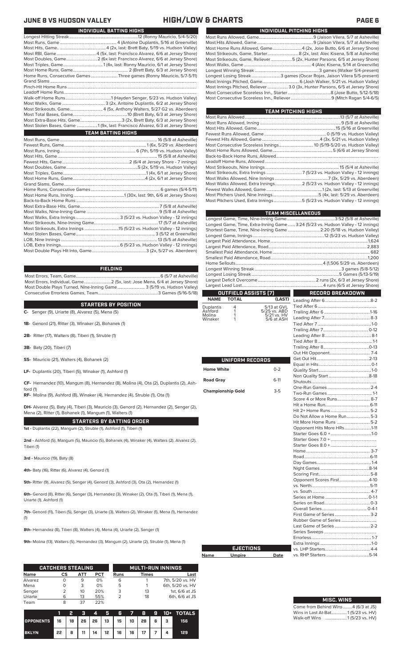### **JUNE 8 VS HUDSON VALLEY HIGH/LOW & CHARTS PAGE 6**

| INDIVIDUAL BATTING HIGHS                                                     |  |  |  |  |  |  |  |  |  |
|------------------------------------------------------------------------------|--|--|--|--|--|--|--|--|--|
|                                                                              |  |  |  |  |  |  |  |  |  |
|                                                                              |  |  |  |  |  |  |  |  |  |
|                                                                              |  |  |  |  |  |  |  |  |  |
|                                                                              |  |  |  |  |  |  |  |  |  |
|                                                                              |  |  |  |  |  |  |  |  |  |
|                                                                              |  |  |  |  |  |  |  |  |  |
|                                                                              |  |  |  |  |  |  |  |  |  |
| Home Runs, Consecutive Games Three games (Ronny Mauricio, 5/7-5/11)          |  |  |  |  |  |  |  |  |  |
|                                                                              |  |  |  |  |  |  |  |  |  |
|                                                                              |  |  |  |  |  |  |  |  |  |
|                                                                              |  |  |  |  |  |  |  |  |  |
|                                                                              |  |  |  |  |  |  |  |  |  |
|                                                                              |  |  |  |  |  |  |  |  |  |
|                                                                              |  |  |  |  |  |  |  |  |  |
|                                                                              |  |  |  |  |  |  |  |  |  |
|                                                                              |  |  |  |  |  |  |  |  |  |
| Most Stolen Bases, Game 1 (9x, last: Francisco Alvarez, 6/3 at Jersey Shore) |  |  |  |  |  |  |  |  |  |
| <b>TEAM BATTING HIGHS</b>                                                    |  |  |  |  |  |  |  |  |  |
|                                                                              |  |  |  |  |  |  |  |  |  |
|                                                                              |  |  |  |  |  |  |  |  |  |
|                                                                              |  |  |  |  |  |  |  |  |  |
|                                                                              |  |  |  |  |  |  |  |  |  |
|                                                                              |  |  |  |  |  |  |  |  |  |
|                                                                              |  |  |  |  |  |  |  |  |  |
|                                                                              |  |  |  |  |  |  |  |  |  |
|                                                                              |  |  |  |  |  |  |  |  |  |
|                                                                              |  |  |  |  |  |  |  |  |  |
|                                                                              |  |  |  |  |  |  |  |  |  |
|                                                                              |  |  |  |  |  |  |  |  |  |
|                                                                              |  |  |  |  |  |  |  |  |  |
|                                                                              |  |  |  |  |  |  |  |  |  |
|                                                                              |  |  |  |  |  |  |  |  |  |
|                                                                              |  |  |  |  |  |  |  |  |  |
|                                                                              |  |  |  |  |  |  |  |  |  |
|                                                                              |  |  |  |  |  |  |  |  |  |
|                                                                              |  |  |  |  |  |  |  |  |  |
|                                                                              |  |  |  |  |  |  |  |  |  |
|                                                                              |  |  |  |  |  |  |  |  |  |
|                                                                              |  |  |  |  |  |  |  |  |  |

### **FIELDING**

Most Errors, Team, Game...............................................................................6 (5/7 at Asheville) Most Errors, Individual, Game.........................2 (5x, last: Jose Mena, 6/4 at Jersey Shore) Most Double Plays Turned, Nine-Inning Game.......................... 3 (5/19 vs. Hudson Valley) Consecutive Errorless Games, Team.

**STARTERS BY POSITION**

**C-** Senger (9), Uriarte (8), Alvarez (5), Mena (5)

**1B-** Genord (21), Ritter (3), Winaker (2), Bohanek (1)

**2B-** Ritter (17), Walters (8), Tiberi (1), Struble (1)

**3B-** Baty (20), Tiberi (7)

ford (1)

**SS-** Mauricio (21), Walters (4), Bohanek (2)

**LF-** Duplantis (20), Tiberi (5), Winaker (1), Ashford (1)

**CF-** Hernandez (10), Mangum (8), Hernandez (8), Molina (4), Ota (2), Duplantis (2), Ash-

**RF-** Molina (9), Ashford (8), Winaker (4), Hernandez (4), Struble (1), Ota (1)

**DH-** Alvarez (5), Baty (4), Tiberi (3), Mauricio (3), Genord (2), Hernandez (2), Senger (2), Mena (2), Ritter (1), Bohanek (1), Mangum (1), Walters (1)

**STARTERS BY BATTING ORDER 1st -** Duplantis (22), Mangum (2), Struble (1), Ashford (1), Tiberi (1)

**2nd -** Ashford (5), Mangum (5), Mauricio (5), Bohanek (4), Winaker (4), Walters (2), Alvarez (2), Tiberi (1)

**3rd -** Mauricio (19), Baty (8)

**4th-** Baty (16), Ritter (6), Alvarez (4), Genord (1)

**5th-** Ritter (9), Alvarez (5), Senger (4), Genord (3), Ashford (3), Ota (2), Hernandez (1)

**6th-** Genord (8), Ritter (6), Senger (3), Hernandez (3), Winaker (2), Ota (1), Tiberi (1), Mena (1), Uriarte (1), Ashford (1)

**7th-** Genord (11), Tiberi (5), Senger (3), Uriarte (3), Walters (2), Winaker (1), Mena (1), Hernandez (1)

**8th-** Hernandez (8), Tiberi (8), Walters (4), Mena (4), Uriarte (2), Senger (1)

**9th-** Molina (13), Walters (5), Hernandez (3), Mangum (2), Uriarte (2), Struble (1), Mena (1)

|             | <b>CATCHERS STEALING</b> |     |            | <b>MULTI-RUN INNINGS</b> |       |                  |  |  |
|-------------|--------------------------|-----|------------|--------------------------|-------|------------------|--|--|
| <b>Name</b> | CS                       | АТТ | <b>PCT</b> | <b>Runs</b>              | Times | Last             |  |  |
| Alvarez     |                          | 9   | 0%         | 6                        |       | 7th, 5/20 vs. HV |  |  |
| Mena        |                          | 3   | 0%         | 5                        |       | 6th, 5/20 vs. HV |  |  |
| Senger      |                          | 10  | 20%        | 3                        | 13    | 1st, 6/6 at JS   |  |  |
| Uriarte     | 6                        | 13  | 55%        |                          | 18    | 6th, 6/6 at JS   |  |  |
| Team        |                          | 37  | 22%        |                          |       |                  |  |  |

|                                                         |    |   | - 2 | $\boldsymbol{A}$ | <b>ALGENT</b> |                            |  |  | 6 7 8 9 10 + TOTALS |
|---------------------------------------------------------|----|---|-----|------------------|---------------|----------------------------|--|--|---------------------|
| OPPONENTS 16   18   26   26   13   15   10   28   6   3 |    |   |     |                  |               |                            |  |  | 156                 |
| <b>BKLYN</b>                                            | 22 | 8 | 11  |                  |               | 14   12   16   16   17   7 |  |  | 129                 |

| INDIVIDUAL PITCHING HIGHS                                                     |
|-------------------------------------------------------------------------------|
|                                                                               |
|                                                                               |
| Most Home Runs Allowed, Game 4 (2x, Jose Butto, 6/6 at Jersey Shore)          |
|                                                                               |
| Most Strikeouts, Game, Reliever5 (2x, Hunter Parsons, 6/5 at Jersey Shore)    |
|                                                                               |
|                                                                               |
| Longest Losing Streak3 games (Oscar Rojas, Jaison Vilera 5/5-present)         |
|                                                                               |
| Most Innings Pitched, Reliever  3.0 (3x, Hunter Parsons, 6/5 at Jersey Shore) |
|                                                                               |
|                                                                               |
|                                                                               |

| TEAM PITCHING HIGHS |                                                                           |
|---------------------|---------------------------------------------------------------------------|
|                     |                                                                           |
|                     |                                                                           |
|                     |                                                                           |
|                     |                                                                           |
|                     |                                                                           |
|                     |                                                                           |
|                     |                                                                           |
|                     |                                                                           |
|                     |                                                                           |
|                     |                                                                           |
|                     |                                                                           |
|                     |                                                                           |
|                     | Most Walks Allowed, Extra Innings 2 (5/23 vs. Hudson Valley - 12 innings) |
|                     |                                                                           |
|                     |                                                                           |
|                     | Most Pitchers Used, Extra Innings 5 (5/23 vs. Hudson Valley - 12 innings) |

|                      |                                             |                             | <b>TEAM MISCELLANEOUS</b>                                                        |  |  |  |  |  |  |
|----------------------|---------------------------------------------|-----------------------------|----------------------------------------------------------------------------------|--|--|--|--|--|--|
|                      |                                             |                             |                                                                                  |  |  |  |  |  |  |
|                      |                                             |                             | Longest Game, Time, Extra-Inning Game 3:24 (5/23 vs. Hudson Valley - 12 innings) |  |  |  |  |  |  |
|                      |                                             |                             | Shortest Game, Time, Nine-Inning Game  2:20 (5/18 vs. Hudson Valley)             |  |  |  |  |  |  |
|                      |                                             |                             |                                                                                  |  |  |  |  |  |  |
|                      |                                             |                             |                                                                                  |  |  |  |  |  |  |
|                      |                                             |                             |                                                                                  |  |  |  |  |  |  |
|                      |                                             |                             |                                                                                  |  |  |  |  |  |  |
|                      |                                             |                             |                                                                                  |  |  |  |  |  |  |
|                      |                                             |                             |                                                                                  |  |  |  |  |  |  |
|                      |                                             |                             |                                                                                  |  |  |  |  |  |  |
|                      |                                             |                             |                                                                                  |  |  |  |  |  |  |
|                      |                                             |                             |                                                                                  |  |  |  |  |  |  |
| <b>NAME</b>          | <b>OUTFIELD ASSISTS [7]</b><br><b>TOTAL</b> | (LAST)                      | RECORD BREAKDOWN                                                                 |  |  |  |  |  |  |
|                      |                                             |                             |                                                                                  |  |  |  |  |  |  |
| Duplantis<br>Ashford | 4<br>1                                      | 5/13 at GVL<br>5/25 vs. ABD |                                                                                  |  |  |  |  |  |  |
| Molina               | 1                                           | 5/21 vs. HV                 |                                                                                  |  |  |  |  |  |  |
| Winaker              | 1                                           | 5/6 at ASH                  |                                                                                  |  |  |  |  |  |  |
|                      |                                             |                             |                                                                                  |  |  |  |  |  |  |
|                      |                                             |                             |                                                                                  |  |  |  |  |  |  |
|                      |                                             |                             |                                                                                  |  |  |  |  |  |  |
|                      |                                             |                             |                                                                                  |  |  |  |  |  |  |
|                      |                                             |                             |                                                                                  |  |  |  |  |  |  |
|                      | <b>UNIFORM RECORDS</b>                      |                             |                                                                                  |  |  |  |  |  |  |
|                      |                                             |                             |                                                                                  |  |  |  |  |  |  |
| <b>Home White</b>    |                                             | $0 - 2$                     |                                                                                  |  |  |  |  |  |  |
| <b>Road Gray</b>     |                                             | $6-11$                      |                                                                                  |  |  |  |  |  |  |
|                      |                                             |                             |                                                                                  |  |  |  |  |  |  |
|                      | <b>Championship Gold</b>                    | $3-5$                       |                                                                                  |  |  |  |  |  |  |
|                      |                                             |                             |                                                                                  |  |  |  |  |  |  |
|                      |                                             |                             |                                                                                  |  |  |  |  |  |  |
|                      |                                             |                             |                                                                                  |  |  |  |  |  |  |
|                      |                                             |                             | Do Not Allow a Home Run5-3                                                       |  |  |  |  |  |  |
|                      |                                             |                             |                                                                                  |  |  |  |  |  |  |
|                      |                                             |                             | Opponent Hits More HRs1-11                                                       |  |  |  |  |  |  |
|                      |                                             |                             |                                                                                  |  |  |  |  |  |  |
|                      |                                             |                             |                                                                                  |  |  |  |  |  |  |
|                      |                                             |                             |                                                                                  |  |  |  |  |  |  |
|                      |                                             |                             |                                                                                  |  |  |  |  |  |  |
|                      |                                             |                             |                                                                                  |  |  |  |  |  |  |
|                      |                                             |                             |                                                                                  |  |  |  |  |  |  |
|                      |                                             |                             |                                                                                  |  |  |  |  |  |  |
|                      |                                             |                             | Opponent Scores First4-10                                                        |  |  |  |  |  |  |
|                      |                                             |                             |                                                                                  |  |  |  |  |  |  |
|                      |                                             |                             |                                                                                  |  |  |  |  |  |  |
|                      |                                             |                             |                                                                                  |  |  |  |  |  |  |
|                      |                                             |                             |                                                                                  |  |  |  |  |  |  |
|                      |                                             |                             |                                                                                  |  |  |  |  |  |  |
|                      |                                             |                             |                                                                                  |  |  |  |  |  |  |
|                      |                                             |                             |                                                                                  |  |  |  |  |  |  |
|                      |                                             |                             |                                                                                  |  |  |  |  |  |  |
|                      |                                             |                             |                                                                                  |  |  |  |  |  |  |
|                      |                                             |                             |                                                                                  |  |  |  |  |  |  |
|                      | <b>EJECTIONS</b>                            |                             |                                                                                  |  |  |  |  |  |  |
| Name                 | <b>Umpire</b>                               | Date                        |                                                                                  |  |  |  |  |  |  |

| <b>MISC. WINS</b>                   |  |
|-------------------------------------|--|
| Come from Behind Wins 4 (6/3 at JS) |  |
| Wins in Last At-Bat 1(5/23 vs. HV)  |  |
| Walk-off Wins  1(5/23 vs. HV)       |  |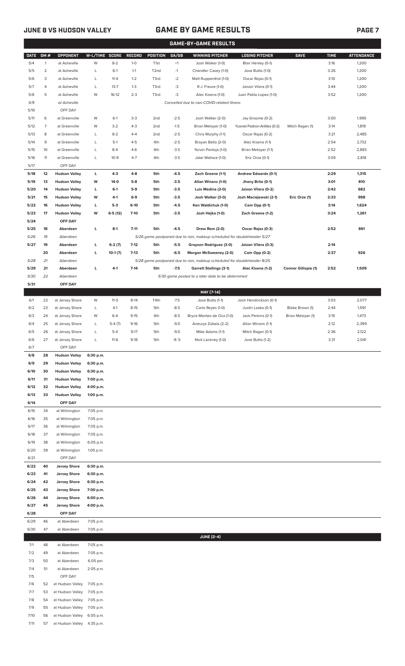7/10 56 at Hudson Valley 6:05 p.m. 7/11 57 at Hudson Valley 4:35 p.m.

## **JUNE 8 VS HUDSON VALLEY GAME BY GAME RESULTS PAGE 7**

|              | <b>GAME-BY-GAME RESULTS</b> |                                              |                        |                |                |                  |                  |                                                                         |                                               |                             |              |                   |
|--------------|-----------------------------|----------------------------------------------|------------------------|----------------|----------------|------------------|------------------|-------------------------------------------------------------------------|-----------------------------------------------|-----------------------------|--------------|-------------------|
| <b>DATE</b>  | GM#                         | OPPONENT                                     | W-L/TIME SCORE         |                | <b>RECORD</b>  | POSITION         | GA/GB            | <b>WINNING PITCHER</b>                                                  | <b>LOSING PITCHER</b>                         | <b>SAVE</b>                 | <b>TIME</b>  | <b>ATTENDANCE</b> |
| 5/4          | $\mathbf{1}$                | at Asheville                                 | W                      | $8 - 2$        | $1-0$          | T <sub>1st</sub> | $+1$             | Josh Walker (1-0)                                                       | Blair Henley (0-1)                            |                             | 3:16         | 1,200             |
| 5/5          | $\overline{2}$              | at Asheville                                 | L                      | $6-1$          | $1 - 1$        | T <sub>2nd</sub> | $-1$             | Chandler Casey (1-0)                                                    | Jose Butto (1-0)                              |                             | 3:26         | 1,200             |
| 5/6          | 3                           | at Asheville                                 | L                      | $11 - 4$       | $1 - 2$        | T3rd             | $-2$             | Matt Ruppenthal (1-0)                                                   | Oscar Rojas (0-1)                             |                             | 3:10         | 1,200             |
| 5/7          | 4                           | at Asheville                                 | L                      | $13 - 7$       | $1 - 3$        | T3rd             | -3               | R.J. Freure (1-0)                                                       | Jaison Vilera (0-1)                           |                             | 3:44         | 1,200             |
| 5/8          | 5                           | at Asheville                                 | W                      | $16-12$        | $2 - 3$        | T3rd             | -3               | Alec Kisena (1-0)                                                       | Juan Pablo Lopez (1-0)                        |                             | 3:52         | 1,200             |
| 5/9          |                             | at Asheville                                 |                        |                |                |                  |                  | Cancelled due to non-COVID-related illness                              |                                               |                             |              |                   |
| 5/10<br>5/11 | 6                           | OFF DAY<br>at Greenville                     | W                      | $6-1$          | $3-3$          | 2nd              | $-2.5$           | Josh Walker (2-0)                                                       | Jay Groome (0-2)                              |                             | 3:00         | 1,995             |
| 5/12         | 7                           | at Greenville                                | W                      | $3-2$          | $4 - 3$        | 2 <sub>nd</sub>  | $-1.5$           | Brian Metoyer (1-0)                                                     | Yusniel Padron-Artilles (0-2)                 | Mitch Ragan (1)             | 3:14         | 1,819             |
| 5/13         | 8                           | at Greenville                                | L                      | $8 - 2$        | $4 - 4$        | 2nd              | $-2.5$           | Chris Murphy (1-1)                                                      | Oscar Rojas (0-2)                             |                             | 3:21         | 2,485             |
| 5/14         | 9                           | at Greenville                                | L                      | $5-1$          | $4 - 5$        | 4th              | $-2.5$           | Brayan Bello (2-0)                                                      | Alec Kisena (1-1)                             |                             | 2:54         | 2,732             |
| 5/15         | 10                          | at Greenville                                | L                      | $8 - 4$        | $4-6$          | 4th              | $-3.5$           | Yorvin Pantoja (1-0)                                                    | Brian Metoyer (1-1)                           |                             | 2:52         | 2,883             |
| 5/16         | 11                          | at Greenville                                | L                      | $10-9$         | $4 - 7$        | 4th              | $-3.5$           | Jake Wallace (1-0)                                                      | Eric Orze (0-1)                               |                             | 3:09         | 2,818             |
| 5/17         |                             | OFF DAY                                      |                        |                |                |                  |                  |                                                                         |                                               |                             |              |                   |
| 5/18         | 12                          | <b>Hudson Valley</b>                         | г                      | $4 - 3$        | $4 - 8$        | 5th              | $-4.5$           | Zach Greene (1-1)                                                       | Andrew Edwards (0-1)                          |                             | 2:29         | 1,315             |
| 5/19         | 13                          | <b>Hudson Valley</b>                         | W                      | $14-0$         | $5-8$          | 5th              | $-3.5$           | Allan Winans (1-0)                                                      | Jhony Brito (0-1)                             |                             | 3:01         | 810               |
| 5/20<br>5/21 | 14<br>15                    | <b>Hudson Valley</b><br><b>Hudson Valley</b> | г<br>W                 | $6-1$<br>$4-1$ | $5-9$<br>$6-9$ | 5th<br>5th       | $-3.5$<br>$-3.5$ | Luis Medina (2-0)<br>Josh Walker (3-0)                                  | Jaison Vilera (0-2)<br>Josh Maciejewski (2-1) | Eric Orze (1)               | 2:42<br>2:33 | 682<br>998        |
| 5/22         | 16                          | <b>Hudson Valley</b>                         | г                      | $5-3$          | $6-10$         | 5th              | $-4.5$           | Ken Waldichuk (1-0)                                                     | Cam Opp (0-1)                                 |                             | 3:14         | 1,624             |
| 5/23         | 17                          | <b>Hudson Valley</b>                         | W                      | $6-5(12)$      | $7-10$         | 5th              | $-3.5$           | Josh Hejka (1-0)                                                        | Zach Greene (1-2)                             |                             | 3:24         | 1,261             |
| 5/24         |                             | OFF DAY                                      |                        |                |                |                  |                  |                                                                         |                                               |                             |              |                   |
| 5/25         | 18                          | Aberdeen                                     | г                      | $8-1$          | $7 - 11$       | 5th              | $-4.5$           | Drew Rom (2-0)                                                          | Oscar Rojas (0-3)                             |                             | 2:52         | 861               |
| 5/26         | 19                          | Aberdeen                                     |                        |                |                |                  |                  | 5/26 game postponed due to rain, makeup scheduled for doubleheader 5/27 |                                               |                             |              |                   |
| 5/27         | 19                          | Aberdeen                                     | г                      | $6-2(7)$       | $7-12$         | 5th              | $-5.5$           | Grayson Rodriguez (3-0)                                                 | Jaison Vilera (0-3)                           |                             | 2:14         |                   |
|              | 20                          | Aberdeen                                     | г                      | $10-1(7)$      | $7-13$         | 5th              | $-6.5$           | Morgan McSweeney (2-0)                                                  | Cam Opp (0-2)                                 |                             | 2:37         | 926               |
| 5/28         | 21                          | Aberdeen                                     |                        |                |                |                  |                  | 5/28 game postponed due to rain, makeup scheduled for doubleheader 8/25 |                                               |                             |              |                   |
| 5/29         | 21<br>22                    | Aberdeen                                     | L                      | $4-1$          | $7-14$         | 5th              | $-7.5$           | <b>Garrett Stallings (3-1)</b>                                          | Alec Kisena (1-2)                             | <b>Connor Gillispie (1)</b> | 2:52         | 1,509             |
| 5/30<br>5/31 |                             | Aberdeen<br>OFF DAY                          |                        |                |                |                  |                  | 5/30 game posted to a later date to be determined                       |                                               |                             |              |                   |
|              |                             |                                              |                        |                |                |                  |                  | MAY [7-14]                                                              |                                               |                             |              |                   |
| 6/1          | 22                          | at Jersey Shore                              | W                      | $11-5$         | $8-14$         | T4th             | $-7.5$           | Jose Butto (1-1)                                                        | Josh Hendrickson (0-1)                        |                             | 3:03         | 2,077             |
| 6/2          | 23                          | at Jersey Shore                              | L                      | $4-1$          | $8 - 15$       | 5th              | $-8.5$           | Carlo Reyes (1-0)                                                       | Justin Lasko (0-1)                            | Blake Brown (1)             | 2:44         | 1,591             |
| 6/3          | 24                          | at Jersey Shore                              | W                      | $6 - 4$        | $9 - 15$       | 4th              | $-8.5$           | Bryce Montes de Oca (1-0)                                               | Jack Perkins (0-1)                            | Brian Metoyer (1)           | 3:15         | 1,473             |
| 6/4          | 25                          | at Jersey Shore                              | L                      | $5-4(7)$       | $9-16$         | 5th              | $-9.0$           | Aneurys Zabala (2-2)                                                    | Allan Winans (1-1)                            |                             | 2:12         | 2,399             |
| 6/5          | 26                          | at Jersey Shore                              | L                      | $5-4$          | $9 - 17$       | 5th              | $-9.0$           | Mike Adams (1-1)                                                        | Mitch Ragan (0-1)                             |                             | 2:36         | 2,122             |
| 6/6          | 27                          | at Jersey Shore                              | L                      | $11-6$         | $9-18$         | 5th              | $-9.5$           | Nick Lackney (1-0)                                                      | Jose Butto (1-2)                              |                             | 3:31         | 2,041             |
| 6/7<br>6/8   | 28                          | OFF DAY<br><b>Hudson Valley</b>              | 6:30 p.m.              |                |                |                  |                  |                                                                         |                                               |                             |              |                   |
| 6/9          | 29                          | <b>Hudson Valley</b>                         | 6:30 p.m.              |                |                |                  |                  |                                                                         |                                               |                             |              |                   |
| 6/10         | 30                          | <b>Hudson Valley</b>                         | 6:30 p.m.              |                |                |                  |                  |                                                                         |                                               |                             |              |                   |
| 6/11         | 31                          | <b>Hudson Valley</b>                         | 7:00 p.m.              |                |                |                  |                  |                                                                         |                                               |                             |              |                   |
| 6/12         | 32                          | <b>Hudson Valley</b>                         | 4:00 p.m.              |                |                |                  |                  |                                                                         |                                               |                             |              |                   |
| 6/13         | 33                          | <b>Hudson Valley</b>                         | 1:00 p.m.              |                |                |                  |                  |                                                                         |                                               |                             |              |                   |
| 6/14         |                             | OFF DAY                                      |                        |                |                |                  |                  |                                                                         |                                               |                             |              |                   |
| 6/15         | 34                          | at Wilmington                                | 7:05 p.m.              |                |                |                  |                  |                                                                         |                                               |                             |              |                   |
| 6/16<br>6/17 | 35<br>36                    | at Wilmington<br>at Wilmington               | 7:05 p.m.<br>7:05 p.m. |                |                |                  |                  |                                                                         |                                               |                             |              |                   |
| 6/18         | 37                          | at Wilmington                                | 7:05 p.m.              |                |                |                  |                  |                                                                         |                                               |                             |              |                   |
| 6/19         | 38                          | at Wilmington                                | 6:05 p.m.              |                |                |                  |                  |                                                                         |                                               |                             |              |                   |
| 6/20         | 39                          | at Wilmington                                | 1:05 p.m.              |                |                |                  |                  |                                                                         |                                               |                             |              |                   |
| 6/21         |                             | OFF DAY                                      |                        |                |                |                  |                  |                                                                         |                                               |                             |              |                   |
| 6/22         | 40                          | <b>Jersey Shore</b>                          | 6:30 p.m.              |                |                |                  |                  |                                                                         |                                               |                             |              |                   |
| 6/23         | 41                          | <b>Jersey Shore</b>                          | 6:30 p.m.              |                |                |                  |                  |                                                                         |                                               |                             |              |                   |
| 6/24         | 42                          | <b>Jersey Shore</b>                          | 6:30 p.m.              |                |                |                  |                  |                                                                         |                                               |                             |              |                   |
| 6/25<br>6/26 | 43<br>44                    | <b>Jersey Shore</b>                          | 7:00 p.m.              |                |                |                  |                  |                                                                         |                                               |                             |              |                   |
| 6/27         | 45                          | <b>Jersey Shore</b><br><b>Jersey Shore</b>   | 6:00 p.m.<br>4:00 p.m. |                |                |                  |                  |                                                                         |                                               |                             |              |                   |
| 6/28         |                             | OFF DAY                                      |                        |                |                |                  |                  |                                                                         |                                               |                             |              |                   |
| 6/29         | 46                          | at Aberdeen                                  | 7:05 p.m.              |                |                |                  |                  |                                                                         |                                               |                             |              |                   |
| 6/30         | 47                          | at Aberdeen                                  | 7:05 p.m.              |                |                |                  |                  |                                                                         |                                               |                             |              |                   |
|              |                             |                                              |                        |                |                |                  |                  | <b>JUNE [2-4]</b>                                                       |                                               |                             |              |                   |
| 7/1          | 48                          | at Aberdeen                                  | 7:05 p.m.              |                |                |                  |                  |                                                                         |                                               |                             |              |                   |
| 7/2          | 49                          | at Aberdeen                                  | 7:05 p.m.              |                |                |                  |                  |                                                                         |                                               |                             |              |                   |
| 7/3          | 50<br>51                    | at Aberdeen<br>at Aberdeen                   | 6:05 pm.               |                |                |                  |                  |                                                                         |                                               |                             |              |                   |
| 7/4<br>7/5   |                             | OFF DAY                                      | 2:05 p.m.              |                |                |                  |                  |                                                                         |                                               |                             |              |                   |
| 7/6          | 52                          | at Hudson Valley                             | 7:05 p.m.              |                |                |                  |                  |                                                                         |                                               |                             |              |                   |
| 7/7          | 53                          | at Hudson Valley                             | 7:05 p.m.              |                |                |                  |                  |                                                                         |                                               |                             |              |                   |
| 7/8          | 54                          | at Hudson Valley                             | 7:05 p.m.              |                |                |                  |                  |                                                                         |                                               |                             |              |                   |
| 7/9          | 55                          | at Hudson Valley                             | 7:05 p.m.              |                |                |                  |                  |                                                                         |                                               |                             |              |                   |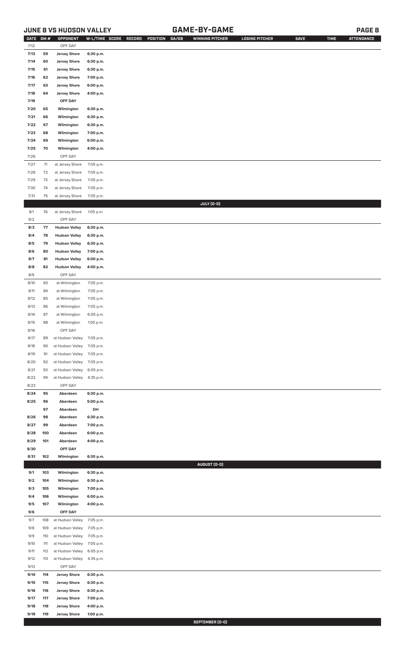## **JUNE 8 VS HUDSON VALLEY GAME-BY-GAME PAGE 8**

| <b>DATE</b> | GM# | OPPONENT                   | W-L/TIME SCORE | RECORD<br>POSITION<br>GA/GB | <b>WINNING PITCHER</b> | <b>LOSING PITCHER</b> | <b>SAVE</b> | <b>TIME</b> | <b>ATTENDANCE</b> |
|-------------|-----|----------------------------|----------------|-----------------------------|------------------------|-----------------------|-------------|-------------|-------------------|
| 7/12        |     | OFF DAY                    |                |                             |                        |                       |             |             |                   |
| 7/13        | 59  | <b>Jersey Shore</b>        | 6:30 p.m.      |                             |                        |                       |             |             |                   |
| 7/14        | 60  | <b>Jersey Shore</b>        | 6:30 p.m.      |                             |                        |                       |             |             |                   |
| 7/15        | 61  | <b>Jersey Shore</b>        | 6:30 p.m.      |                             |                        |                       |             |             |                   |
| 7/16        | 62  | <b>Jersey Shore</b>        | 7:00 p.m.      |                             |                        |                       |             |             |                   |
| 7/17        | 63  | <b>Jersey Shore</b>        | 6:00 p.m.      |                             |                        |                       |             |             |                   |
| 7/18        | 64  | <b>Jersey Shore</b>        | 4:00 p.m.      |                             |                        |                       |             |             |                   |
| 7/19        |     | OFF DAY                    |                |                             |                        |                       |             |             |                   |
| 7/20        | 65  | Wilmington                 | 6:30 p.m.      |                             |                        |                       |             |             |                   |
| 7/21        | 66  | Wilmington                 | 6:30 p.m.      |                             |                        |                       |             |             |                   |
| 7/22        | 67  | Wilmington                 | 6:30 p.m.      |                             |                        |                       |             |             |                   |
| 7/23        | 68  | Wilmington                 | 7:00 p.m.      |                             |                        |                       |             |             |                   |
| 7/24        | 69  | Wilmington                 | 6:00 p.m.      |                             |                        |                       |             |             |                   |
|             |     |                            |                |                             |                        |                       |             |             |                   |
| 7/25        | 70  | Wilmington                 | 4:00 p.m.      |                             |                        |                       |             |             |                   |
| 7/26        |     | OFF DAY                    |                |                             |                        |                       |             |             |                   |
| 7/27        | 71  | at Jersey Shore            | 7:05 p.m.      |                             |                        |                       |             |             |                   |
| 7/28        | 72  | at Jersey Shore            | 7:05 p.m.      |                             |                        |                       |             |             |                   |
| 7/29        | 73  | at Jersey Shore            | 7:05 p.m.      |                             |                        |                       |             |             |                   |
| 7/30        | 74  | at Jersey Shore            | 7:05 p.m.      |                             |                        |                       |             |             |                   |
| 7/31        | 75  | at Jersey Shore            | 7:05 p.m.      |                             |                        |                       |             |             |                   |
|             |     |                            |                |                             | JULY (0-0)             |                       |             |             |                   |
| 8/1         | 76  | at Jersey Shore            | 1:05 p.m.      |                             |                        |                       |             |             |                   |
| 8/2         |     | OFF DAY                    |                |                             |                        |                       |             |             |                   |
| 8/3         | 77  | <b>Hudson Valley</b>       | 6:30 p.m.      |                             |                        |                       |             |             |                   |
| 8/4         | 78  | <b>Hudson Valley</b>       | 6:30 p.m.      |                             |                        |                       |             |             |                   |
| 8/5         | 79  | <b>Hudson Valley</b>       | 6:30 p.m.      |                             |                        |                       |             |             |                   |
| 8/6         | 80  | <b>Hudson Valley</b>       | 7:00 p.m.      |                             |                        |                       |             |             |                   |
| 8/7         | 81  | <b>Hudson Valley</b>       | 6:00 p.m.      |                             |                        |                       |             |             |                   |
| 8/8         | 82  | <b>Hudson Valley</b>       | 4:00 p.m.      |                             |                        |                       |             |             |                   |
| 8/9         |     | OFF DAY                    |                |                             |                        |                       |             |             |                   |
| 8/10        | 83  | at Wilmington              | 7:05 p.m.      |                             |                        |                       |             |             |                   |
| 8/11        | 84  | at Wilmington              | 7:05 p.m.      |                             |                        |                       |             |             |                   |
| 8/12        | 85  | at Wilmington              | 7:05 p.m.      |                             |                        |                       |             |             |                   |
| 8/13        | 86  | at Wilmington              | 7:05 p.m.      |                             |                        |                       |             |             |                   |
| 8/14        | 87  | at Wilmington              | 6:05 p.m.      |                             |                        |                       |             |             |                   |
|             |     | at Wilmington              |                |                             |                        |                       |             |             |                   |
| 8/15        | 88  |                            | 1:05 p.m.      |                             |                        |                       |             |             |                   |
| 8/16        |     | OFF DAY                    |                |                             |                        |                       |             |             |                   |
| 8/17        | 89  | at Hudson Valley 7:05 p.m. |                |                             |                        |                       |             |             |                   |
| 8/18        | 90  | at Hudson Valley           | 7:05 p.m.      |                             |                        |                       |             |             |                   |
| 8/19        | 91  | at Hudson Valley           | 7:05 p.m.      |                             |                        |                       |             |             |                   |
| 8/20        | 92  | at Hudson Valley           | 7:05 p.m.      |                             |                        |                       |             |             |                   |
| 8/21        | 93  | at Hudson Valley           | 6:05 p.m.      |                             |                        |                       |             |             |                   |
| 8/22        | 94  | at Hudson Valley           | 4:35 p.m.      |                             |                        |                       |             |             |                   |
| 8/23        |     | OFF DAY                    |                |                             |                        |                       |             |             |                   |
| 8/24        | 95  | Aberdeen                   | 6:30 p.m.      |                             |                        |                       |             |             |                   |
| 8/25        | 96  | Aberdeen                   | 5:00 p.m.      |                             |                        |                       |             |             |                   |
|             | 97  | Aberdeen                   | DH             |                             |                        |                       |             |             |                   |
| 8/26        | 98  | Aberdeen                   | 6:30 p.m.      |                             |                        |                       |             |             |                   |
| 8/27        | 99  | Aberdeen                   | 7:00 p.m.      |                             |                        |                       |             |             |                   |
| 8/28        | 100 | Aberdeen                   | 6:00 p.m.      |                             |                        |                       |             |             |                   |
| 8/29        | 101 | Aberdeen                   | 4:00 p.m.      |                             |                        |                       |             |             |                   |
| 8/30        |     | OFF DAY                    |                |                             |                        |                       |             |             |                   |
| 8/31        | 102 | Wilmington                 | 6:30 p.m.      |                             |                        |                       |             |             |                   |
|             |     |                            |                |                             | AUGUST (0-0)           |                       |             |             |                   |
| 9/1         | 103 | Wilmington                 | 6:30 p.m.      |                             |                        |                       |             |             |                   |
| 9/2         | 104 | Wilmington                 | 6:30 p.m.      |                             |                        |                       |             |             |                   |
| 9/3         | 105 | Wilmington                 | 7:00 p.m.      |                             |                        |                       |             |             |                   |
| 9/4         | 106 | Wilmington                 | 6:00 p.m.      |                             |                        |                       |             |             |                   |
| 9/5         | 107 | Wilmington                 | 4:00 p.m.      |                             |                        |                       |             |             |                   |
| 9/6         |     | OFF DAY                    |                |                             |                        |                       |             |             |                   |
| 9/7         | 108 | at Hudson Valley           | 7:05 p.m.      |                             |                        |                       |             |             |                   |
|             |     |                            |                |                             |                        |                       |             |             |                   |
| 9/8         | 109 | at Hudson Valley           | 7:05 p.m.      |                             |                        |                       |             |             |                   |
| 9/9         | 110 | at Hudson Valley           | 7:05 p.m.      |                             |                        |                       |             |             |                   |
| 9/10        | 111 | at Hudson Valley           | 7:05 p.m.      |                             |                        |                       |             |             |                   |
| 9/11        | 112 | at Hudson Valley           | 6:05 p.m.      |                             |                        |                       |             |             |                   |
| 9/12        | 113 | at Hudson Valley           | 4:35 p.m.      |                             |                        |                       |             |             |                   |
| 9/13        |     | OFF DAY                    |                |                             |                        |                       |             |             |                   |
| 9/14        | 114 | <b>Jersey Shore</b>        | 6:30 p.m.      |                             |                        |                       |             |             |                   |
| 9/15        | 115 | <b>Jersey Shore</b>        | 6:30 p.m.      |                             |                        |                       |             |             |                   |
| 9/16        | 116 | <b>Jersey Shore</b>        | 6:30 p.m.      |                             |                        |                       |             |             |                   |
| 9/17        | 117 | <b>Jersey Shore</b>        | 7:00 p.m.      |                             |                        |                       |             |             |                   |
| 9/18        | 118 | <b>Jersey Shore</b>        | 4:00 p.m.      |                             |                        |                       |             |             |                   |
| 9/19        | 119 | <b>Jersey Shore</b>        | 1:00 p.m.      |                             |                        |                       |             |             |                   |

**SEPTEMBER (0-0)**